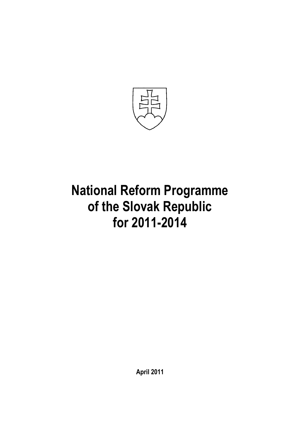

# **National Reform Programme of the Slovak Republic for 2011-2014**

**April 2011**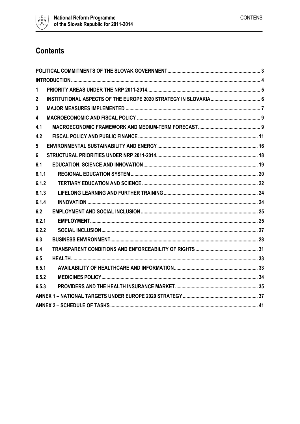

# **Contents**

| $\mathbf{1}$ |  |
|--------------|--|
| $\mathbf{2}$ |  |
| 3            |  |
| 4            |  |
| 4.1          |  |
| 4.2          |  |
| 5            |  |
| 6            |  |
| 6.1          |  |
| 6.1.1        |  |
| 6.1.2        |  |
| 6.1.3        |  |
| 6.1.4        |  |
| 6.2          |  |
| 6.2.1        |  |
| 6.2.2        |  |
| 6.3          |  |
| 6.4          |  |
| 6.5          |  |
| 6.5.1        |  |
| 6.5.2        |  |
| 6.5.3        |  |
|              |  |
|              |  |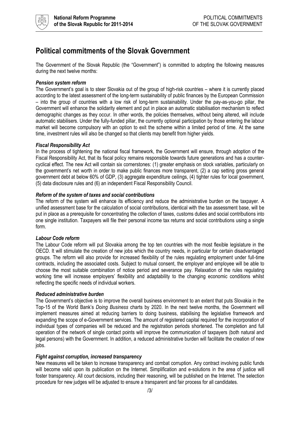

### <span id="page-2-0"></span>**Political commitments of the Slovak Government**

The Government of the Slovak Republic (the "Government") is committed to adopting the following measures during the next twelve months:

#### *Pension system reform*

The Government's goal is to steer Slovakia out of the group of high-risk countries – where it is currently placed according to the latest assessment of the long-term sustainability of public finances by the European Commission – into the group of countries with a low risk of long-term sustainability. Under the pay-as-you-go pillar, the Government will enhance the solidarity element and put in place an automatic stabilisation mechanism to reflect demographic changes as they occur. In other words, the policies themselves, without being altered, will include automatic stabilisers. Under the fully-funded pillar, the currently optional participation by those entering the labour market will become compulsory with an option to exit the scheme within a limited period of time. At the same time, investment rules will also be changed so that clients may benefit from higher yields.

#### *Fiscal Responsibility Act*

In the process of tightening the national fiscal framework, the Government will ensure, through adoption of the Fiscal Responsibility Act, that its fiscal policy remains responsible towards future generations and has a countercyclical effect. The new Act will contain six cornerstones: (1) greater emphasis on stock variables, particularly on the government's net worth in order to make public finances more transparent, (2) a cap setting gross general government debt at below 60% of GDP, (3) aggregate expenditure ceilings, (4) tighter rules for local government, (5) data disclosure rules and (6) an independent Fiscal Responsibility Council.

#### *Reform of the system of taxes and social contributions*

The reform of the system will enhance its efficiency and reduce the administrative burden on the taxpayer. A unified assessment base for the calculation of social contributions, identical with the tax assessment base, will be put in place as a prerequisite for concentrating the collection of taxes, customs duties and social contributions into one single institution. Taxpayers will file their personal income tax returns and social contributions using a single form.

#### *Labour Code reform*

The Labour Code reform will put Slovakia among the top ten countries with the most flexible legislature in the OECD. It will stimulate the creation of new jobs which the country needs, in particular for certain disadvantaged groups. The reform will also provide for increased flexibility of the rules regulating employment under full-time contracts, including the associated costs. Subject to mutual consent, the employer and employee will be able to choose the most suitable combination of notice period and severance pay. Relaxation of the rules regulating working time will increase employers' flexibility and adaptability to the changing economic conditions whilst reflecting the specific needs of individual workers.

#### *Reduced administrative burden*

The Government's objective is to improve the overall business environment to an extent that puts Slovakia in the Top-15 of the World Bank's *Doing Business* charts by 2020. In the next twelve months, the Government will implement measures aimed at reducing barriers to doing business, stabilising the legislative framework and expanding the scope of e-Government services. The amount of registered capital required for the incorporation of individual types of companies will be reduced and the registration periods shortened. The completion and full operation of the network of single contact points will improve the communication of taxpayers (both natural and legal persons) with the Government. In addition, a reduced administrative burden will facilitate the creation of new jobs.

#### *Fight against corruption, increased transparency*

New measures will be taken to increase transparency and combat corruption. Any contract involving public funds will become valid upon its publication on the Internet. Simplification and e-solutions in the area of justice will foster transparency. All court decisions, including their reasoning, will be published on the Internet. The selection procedure for new judges will be adjusted to ensure a transparent and fair process for all candidates.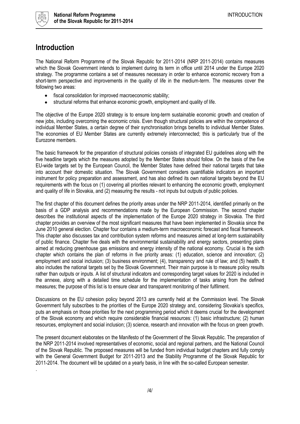

### <span id="page-3-0"></span>**Introduction**

The National Reform Programme of the Slovak Republic for 2011-2014 (NRP 2011-2014) contains measures which the Slovak Government intends to implement during its term in office until 2014 under the Europe 2020 strategy. The programme contains a set of measures necessary in order to enhance economic recovery from a short-term perspective and improvements in the quality of life in the medium-term. The measures cover the following two areas:

- $\bullet$ fiscal consolidation for improved macroeconomic stability;
- structural reforms that enhance economic growth, employment and quality of life.  $\bullet$

The objective of the Europe 2020 strategy is to ensure long-term sustainable economic growth and creation of new jobs, including overcoming the economic crisis. Even though structural policies are within the competence of individual Member States, a certain degree of their synchronisation brings benefits to individual Member States. The economies of EU Member States are currently extremely interconnected; this is particularly true of the Eurozone members.

The basic framework for the preparation of structural policies consists of integrated EU guidelines along with the five headline targets which the measures adopted by the Member States should follow. On the basis of the five EU-wide targets set by the European Council, the Member States have defined their national targets that take into account their domestic situation. The Slovak Government considers quantifiable indicators an important instrument for policy preparation and assessment, and has also defined its own national targets beyond the EU requirements with the focus on (1) covering all priorities relevant to enhancing the economic growth, employment and quality of life in Slovakia, and (2) measuring the results - not inputs but outputs of public policies.

The first chapter of this document defines the priority areas under the NRP 2011-2014, identified primarily on the basis of a GDP analysis and recommendations made by the European Commission. The second chapter describes the institutional aspects of the implementation of the Europe 2020 strategy in Slovakia. The third chapter provides an overview of the most significant measures that have been implemented in Slovakia since the June 2010 general election. Chapter four contains a medium-term macroeconomic forecast and fiscal framework. This chapter also discusses tax and contribution system reforms and measures aimed at long-term sustainability of public finance. Chapter five deals with the environmental sustainability and energy sectors, presenting plans aimed at reducing greenhouse gas emissions and energy intensity of the national economy. Crucial is the sixth chapter which contains the plan of reforms in five priority areas: (1) education, science and innovation; (2) employment and social inclusion; (3) business environment; (4), transparency and rule of law; and (5) health. It also includes the national targets set by the Slovak Government. Their main purpose is to measure policy results rather than outputs or inputs. A list of structural indicators and corresponding target values for 2020 is included in the annexe, along with a detailed time schedule for the implementation of tasks arising from the defined measures; the purpose of this list is to ensure clear and transparent monitoring of their fulfilment.

Discussions on the EU cohesion policy beyond 2013 are currently held at the Commission level. The Slovak Government fully subscribes to the priorities of the Europe 2020 strategy and, considering Slovakia's specifics, puts an emphasis on those priorities for the next programming period which it deems crucial for the development of the Slovak economy and which require considerable financial resources: (1) basic infrastructure; (2) human resources, employment and social inclusion; (3) science, research and innovation with the focus on green growth.

The present document elaborates on the Manifesto of the Government of the Slovak Republic. The preparation of the NRP 2011-2014 involved representatives of economic, social and regional partners, and the National Council of the Slovak Republic. The proposed measures will be funded from individual budget chapters and fully comply with the General Government Budget for 2011-2013 and the Stability Programme of the Slovak Republic for 2011-2014. The document will be updated on a yearly basis, in line with the so-called European semester. .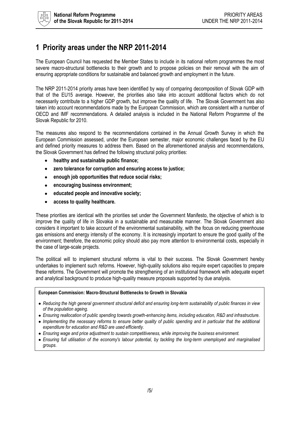### <span id="page-4-0"></span>**1 Priority areas under the NRP 2011-2014**

The European Council has requested the Member States to include in its national reform programmes the most severe macro-structural bottlenecks to their growth and to propose policies on their removal with the aim of ensuring appropriate conditions for sustainable and balanced growth and employment in the future.

The NRP 2011-2014 priority areas have been identified by way of comparing decomposition of Slovak GDP with that of the EU15 average. However, the priorities also take into account additional factors which do not necessarily contribute to a higher GDP growth, but improve the quality of life. The Slovak Government has also taken into account recommendations made by the European Commission, which are consistent with a number of OECD and IMF recommendations. A detailed analysis is included in the National Reform Programme of the Slovak Republic for 2010.

The measures also respond to the recommendations contained in the Annual Growth Survey in which the European Commission assessed, under the European semester, major economic challenges faced by the EU and defined priority measures to address them. Based on the aforementioned analysis and recommendations, the Slovak Government has defined the following structural policy priorities:

- $\bullet$ **healthy and sustainable public finance;**
- **zero tolerance for corruption and ensuring access to justice;**  $\bullet$
- **enough job opportunities that reduce social risks;**  $\bullet$
- $\bullet$ **encouraging business environment;**
- **educated people and innovative society;**
- **access to quality healthcare.**  $\bullet$

These priorities are identical with the priorities set under the Government Manifesto, the objective of which is to improve the quality of life in Slovakia in a sustainable and measurable manner. The Slovak Government also considers it important to take account of the environmental sustainability, with the focus on reducing greenhouse gas emissions and energy intensity of the economy. It is increasingly important to ensure the good quality of the environment; therefore, the economic policy should also pay more attention to environmental costs, especially in the case of large-scale projects.

The political will to implement structural reforms is vital to their success. The Slovak Government hereby undertakes to implement such reforms. However, high-quality solutions also require expert capacities to prepare these reforms. The Government will promote the strengthening of an institutional framework with adequate expert and analytical background to produce high-quality measure proposals supported by due analysis.

#### **European Commission: Macro-Structural Bottlenecks to Growth in Slovakia**

- *Reducing the high general government structural deficit and ensuring long-term sustainability of public finances in view of the population ageing.*
- *Ensuring reallocation of public spending towards growth-enhancing items, including education, R&D and infrastructure.*
- *Implementing the necessary reforms to ensure better quality of public spending and in particular that the additional expenditure for education and R&D are used efficiently.*
- **Ensuring wage and price adjustment to sustain competitiveness, while improving the business environment.**
- *Ensuring full utilisation of the economy's labour potential, by tackling the long-term unemployed and marginalised groups.*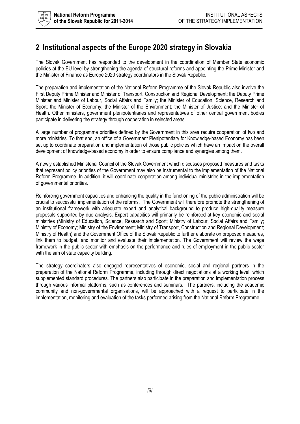### <span id="page-5-0"></span>**2 Institutional aspects of the Europe 2020 strategy in Slovakia**

The Slovak Government has responded to the development in the coordination of Member State economic policies at the EU level by strengthening the agenda of structural reforms and appointing the Prime Minister and the Minister of Finance as Europe 2020 strategy coordinators in the Slovak Republic.

The preparation and implementation of the National Reform Programme of the Slovak Republic also involve the First Deputy Prime Minister and Minister of Transport, Construction and Regional Development; the Deputy Prime Minister and Minister of Labour, Social Affairs and Family; the Minister of Education, Science, Research and Sport; the Minister of Economy; the Minister of the Environment; the Minister of Justice; and the Minister of Health. Other ministers, government plenipotentiaries and representatives of other central government bodies participate in delivering the strategy through cooperation in selected areas.

A large number of programme priorities defined by the Government in this area require cooperation of two and more ministries. To that end, an office of a Government Plenipotentiary for Knowledge-based Economy has been set up to coordinate preparation and implementation of those public policies which have an impact on the overall development of knowledge-based economy in order to ensure compliance and synergies among them.

A newly established Ministerial Council of the Slovak Government which discusses proposed measures and tasks that represent policy priorities of the Government may also be instrumental to the implementation of the National Reform Programme. In addition, it will coordinate cooperation among individual ministries in the implementation of governmental priorities.

Reinforcing government capacities and enhancing the quality in the functioning of the public administration will be crucial to successful implementation of the reforms. The Government will therefore promote the strengthening of an institutional framework with adequate expert and analytical background to produce high-quality measure proposals supported by due analysis. Expert capacities will primarily be reinforced at key economic and social ministries (Ministry of Education, Science, Research and Sport; Ministry of Labour, Social Affairs and Family; Ministry of Economy; Ministry of the Environment; Ministry of Transport, Construction and Regional Development; Ministry of Health) and the Government Office of the Slovak Republic to further elaborate on proposed measures, link them to budget, and monitor and evaluate their implementation. The Government will review the wage framework in the public sector with emphasis on the performance and rules of employment in the public sector with the aim of state capacity building.

The strategy coordinators also engaged representatives of economic, social and regional partners in the preparation of the National Reform Programme, including through direct negotiations at a working level, which supplemented standard procedures. The partners also participate in the preparation and implementation process through various informal platforms, such as conferences and seminars. The partners, including the academic community and non-governmental organisations, will be approached with a request to participate in the implementation, monitoring and evaluation of the tasks performed arising from the National Reform Programme.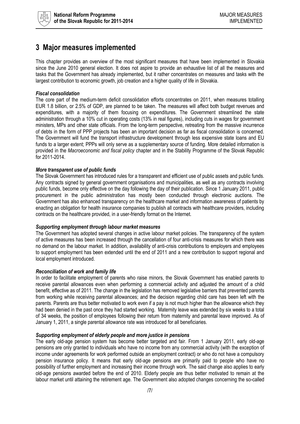

### <span id="page-6-0"></span>**3 Major measures implemented**

This chapter provides an overview of the most significant measures that have been implemented in Slovakia since the June 2010 general election. It does not aspire to provide an exhaustive list of all the measures and tasks that the Government has already implemented, but it rather concentrates on measures and tasks with the largest contribution to economic growth, job creation and a higher quality of life in Slovakia.

#### *Fiscal consolidation*

The core part of the medium-term deficit consolidation efforts concentrates on 2011, when measures totalling EUR 1.8 billion, or 2.5% of GDP, are planned to be taken. The measures will affect both budget revenues and expenditures, with a majority of them focusing on expenditures. The Government streamlined the state administration through a 10% cut in operating costs (13% in real figures), including cuts in wages for government ministers, MPs and other state officials. From the long-term perspective, retreating from the massive incurrence of debts in the form of PPP projects has been an important decision as far as fiscal consolidation is concerned. The Government will fund the transport infrastructure development through less expensive state loans and EU funds to a larger extent; PPPs will only serve as a supplementary source of funding. More detailed information is provided in the *Macroeconomic and fiscal policy* chapter and in the Stability Programme of the Slovak Republic for 2011-2014.

#### *More transparent use of public funds*

The Slovak Government has introduced rules for a transparent and efficient use of public assets and public funds. Any contracts signed by general government organisations and municipalities, as well as any contracts involving public funds, become only effective on the day following the day of their publication. Since 1 January 2011, public procurement in the public administration has mostly been conducted through electronic auctions. The Government has also enhanced transparency on the healthcare market and information awareness of patients by enacting an obligation for health insurance companies to publish all contracts with healthcare providers, including contracts on the healthcare provided, in a user-friendly format on the Internet.

#### *Supporting employment through labour market measures*

The Government has adopted several changes in active labour market policies. The transparency of the system of active measures has been increased through the cancellation of four anti-crisis measures for which there was no demand on the labour market. In addition, availability of anti-crisis contributions to employers and employees to support employment has been extended until the end of 2011 and a new contribution to support regional and local employment introduced.

#### *Reconciliation of work and family life*

In order to facilitate employment of parents who raise minors, the Slovak Government has enabled parents to receive parental allowances even when performing a commercial activity and adjusted the amount of a child benefit, effective as of 2011. The change in the legislation has removed legislative barriers that prevented parents from working while receiving parental allowances; and the decision regarding child care has been left with the parents. Parents are thus better motivated to work even if a pay is not much higher than the allowance which they had been denied in the past once they had started working. Maternity leave was extended by six weeks to a total of 34 weeks, the position of employees following their return from maternity and parental leave improved. As of January 1, 2011, a single parental allowance rate was introduced for all beneficiaries.

#### *Supporting employment of elderly people and more justice in pensions*

The early old-age pension system has become better targeted and fair. From 1 January 2011, early old-age pensions are only granted to individuals who have no income from any commercial activity (with the exception of income under agreements for work performed outside an employment contract) or who do not have a compulsory pension insurance policy. It means that early old-age pensions are primarily paid to people who have no possibility of further employment and increasing their income through work. The said change also applies to early old-age pensions awarded before the end of 2010. Elderly people are thus better motivated to remain at the labour market until attaining the retirement age. The Government also adopted changes concerning the so-called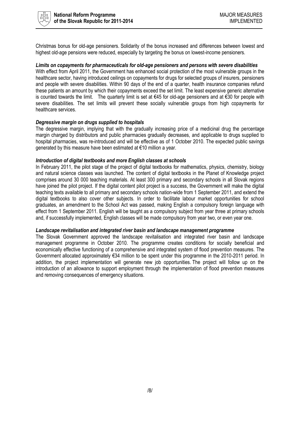

Christmas bonus for old-age pensioners. Solidarity of the bonus increased and differences between lowest and highest old-age pensions were reduced, especially by targeting the bonus on lowest-income pensioners.

#### *Limits on copayments for pharmaceuticals for old-age pensioners and persons with severe disabilities*

With effect from April 2011, the Government has enhanced social protection of the most vulnerable groups in the healthcare sector, having introduced ceilings on copayments for drugs for selected groups of insurers, pensioners and people with severe disabilities. Within 90 days of the end of a quarter, health insurance companies refund these patients an amount by which their copayments exceed the set limit. The least expensive generic alternative is counted towards the limit. The quarterly limit is set at €45 for old-age pensioners and at €30 for people with severe disabilities. The set limits will prevent these socially vulnerable groups from high copayments for healthcare services.

#### *Degressive margin on drugs supplied to hospitals*

The degressive margin, implying that with the gradually increasing price of a medicinal drug the percentage margin charged by distributors and public pharmacies gradually decreases, and applicable to drugs supplied to hospital pharmacies, was re-introduced and will be effective as of 1 October 2010. The expected public savings generated by this measure have been estimated at €10 million a year.

#### *Introduction of digital textbooks and more English classes at schools*

In February 2011, the pilot stage of the project of digital textbooks for mathematics, physics, chemistry, biology and natural science classes was launched. The content of digital textbooks in the Planet of Knowledge project comprises around 30 000 teaching materials. At least 300 primary and secondary schools in all Slovak regions have joined the pilot project. If the digital content pilot project is a success, the Government will make the digital teaching texts available to all primary and secondary schools nation-wide from 1 September 2011, and extend the digital textbooks to also cover other subjects. In order to facilitate labour market opportunities for school graduates, an amendment to the School Act was passed, making English a compulsory foreign language with effect from 1 September 2011. English will be taught as a compulsory subject from year three at primary schools and, if successfully implemented, English classes will be made compulsory from year two, or even year one.

#### *Landscape revitalisation and integrated river basin and landscape management programme*

The Slovak Government approved the landscape revitalisation and integrated river basin and landscape management programme in October 2010. The programme creates conditions for socially beneficial and economically effective functioning of a comprehensive and integrated system of flood prevention measures. The Government allocated approximately €34 million to be spent under this programme in the 2010-2011 period. In addition, the project implementation will generate new job opportunities. The project will follow up on the introduction of an allowance to support employment through the implementation of flood prevention measures and removing consequences of emergency situations.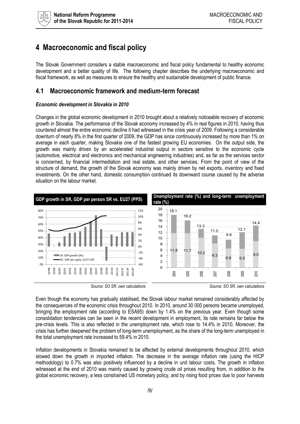

### <span id="page-8-0"></span>**4 Macroeconomic and fiscal policy**

The Slovak Government considers a stable macroeconomic and fiscal policy fundamental to healthy economic development and a better quality of life. The following chapter describes the underlying macroeconomic and fiscal framework, as well as measures to ensure the healthy and sustainable development of public finance.

### <span id="page-8-1"></span>**4.1 Macroeconomic framework and medium-term forecast**

#### *Economic development in Slovakia in 2010*

Changes in the global economic development in 2010 brought about a relatively noticeable recovery of economic growth in Slovakia. The performance of the Slovak economy increased by 4% in real figures in 2010, having thus countered almost the entire economic decline it had witnessed in the crisis year of 2009. Following a considerable downturn of nearly 8% in the first quarter of 2009, the GDP has since continuously increased by more than 1% on average in each quarter, making Slovakia one of the fastest growing EU economies. On the output side, the growth was mainly driven by an accelerated industrial output in sectors sensitive to the economic cycle (automotive, electrical and electronics and mechanical engineering industries) and, as far as the services sector is concerned, by financial intermediation and real estate, and other services. From the point of view of the structure of demand, the growth of the Slovak economy was mainly driven by net exports, inventory and fixed investments. On the other hand, domestic consumption continued its downward course caused by the adverse situation on the labour market.







Even though the economy has gradually stabilised, the Slovak labour market remained considerably affected by the consequences of the economic crisis throughout 2010. In 2010, around 30 000 persons became unemployed, bringing the employment rate (according to ESA95) down by 1.4% on the previous year. Even though some consolidation tendencies can be seen in the recent development in employment, its rate remains far below the pre-crisis levels. This is also reflected in the unemployment rate, which rose to 14.4% in 2010. Moreover, the crisis has further deepened the problem of long-term unemployment, as the share of the long-term unemployed in the total unemployment rate increased to 59.4% in 2010.

Inflation developments in Slovakia remained to be affected by external developments throughout 2010, which slowed down the growth in imported inflation. The decrease in the average inflation rate (using the HICP methodology) to 0.7% was also positively influenced by a decline in unit labour costs. The growth in inflation witnessed at the end of 2010 was mainly caused by growing crude oil prices resulting from, in addition to the global economic recovery, a less constrained US monetary policy, and by rising food prices due to poor harvests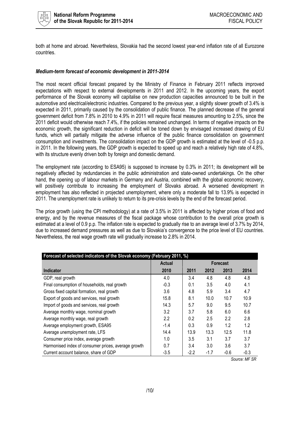

both at home and abroad. Nevertheless, Slovakia had the second lowest year-end inflation rate of all Eurozone countries.

#### *Medium-term forecast of economic development in 2011-2014*

The most recent official forecast prepared by the Ministry of Finance in February 2011 reflects improved expectations with respect to external developments in 2011 and 2012. In the upcoming years, the export performance of the Slovak economy will capitalise on new production capacities announced to be built in the automotive and electrical/electronic industries. Compared to the previous year, a slightly slower growth of 3.4% is expected in 2011, primarily caused by the consolidation of public finance. The planned decrease of the general government deficit from 7.8% in 2010 to 4.9% in 2011 will require fiscal measures amounting to 2.5%, since the 2011 deficit would otherwise reach 7.4%, if the policies remained unchanged. In terms of negative impacts on the economic growth, the significant reduction in deficit will be toned down by envisaged increased drawing of EU funds, which will partially mitigate the adverse influence of the public finance consolidation on government consumption and investments. The consolidation impact on the GDP growth is estimated at the level of -0.5 p.p. in 2011. In the following years, the GDP growth is expected to speed up and reach a relatively high rate of 4.8%, with its structure evenly driven both by foreign and domestic demand.

The employment rate (according to ESA95) is supposed to increase by 0.3% in 2011; its development will be negatively affected by redundancies in the public administration and state-owned undertakings. On the other hand, the opening up of labour markets in Germany and Austria, combined with the global economic recovery, will positively contribute to increasing the employment of Slovaks abroad. A worsened development in employment has also reflected in projected unemployment, where only a moderate fall to 13.9% is expected in 2011. The unemployment rate is unlikely to return to its pre-crisis levels by the end of the forecast period.

The price growth (using the CPI methodology) at a rate of 3.5% in 2011 is affected by higher prices of food and energy, and by the revenue measures of the fiscal package whose contribution to the overall price growth is estimated at a level of 0.9 p.p. The inflation rate is expected to gradually rise to an average level of 3.7% by 2014, due to increased demand pressures as well as due to Slovakia's convergence to the price level of EU countries. Nevertheless, the real wage growth rate will gradually increase to 2.8% in 2014.

| Forecast of selected indicators of the Slovak economy (February 2011, %) |               |                 |        |        |        |  |
|--------------------------------------------------------------------------|---------------|-----------------|--------|--------|--------|--|
|                                                                          | <b>Actual</b> | <b>Forecast</b> |        |        |        |  |
| <b>Indicator</b>                                                         | 2010          | 2011            | 2012   | 2013   | 2014   |  |
| GDP, real growth                                                         | 4.0           | 3.4             | 4.8    | 4.8    | 4.8    |  |
| Final consumption of households, real growth                             | $-0.3$        | 0.1             | 3.5    | 4.0    | 4.1    |  |
| Gross fixed capital formation, real growth                               | 3.6           | 4.8             | 5.9    | 3.4    | 4.7    |  |
| Export of goods and services, real growth                                | 15.8          | 8.1             | 10.0   | 10.7   | 10.9   |  |
| Import of goods and services, real growth                                | 14.3          | 5.7             | 9.0    | 9.5    | 10.7   |  |
| Average monthly wage, nominal growth                                     | 3.2           | 3.7             | 5.8    | 6.0    | 6.6    |  |
| Average monthly wage, real growth                                        | 2.2           | 0.2             | 2.5    | 2.2    | 2.8    |  |
| Average employment growth, ESA95                                         | $-1.4$        | 0.3             | 0.9    | 1.2    | 1.2    |  |
| Average unemployment rate, LFS                                           | 14.4          | 13.9            | 13.3   | 12.5   | 11.8   |  |
| Consumer price index, average growth                                     | 1.0           | 3.5             | 3.1    | 3.7    | 3.7    |  |
| Harmonised index of consumer prices, average growth                      | 0.7           | 3.4             | 3.0    | 3.6    | 3.7    |  |
| Current account balance, share of GDP                                    | $-3.5$        | $-2.2$          | $-1.7$ | $-0.6$ | $-0.3$ |  |

*Source: MF SR*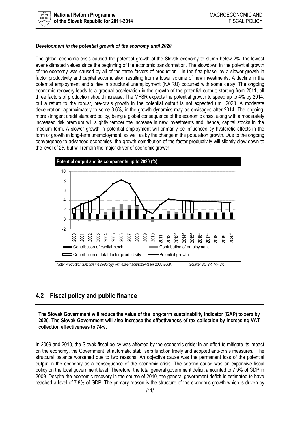

#### *Development in the potential growth of the economy until 2020*

The global economic crisis caused the potential growth of the Slovak economy to slump below 2%, the lowest ever estimated values since the beginning of the economic transformation. The slowdown in the potential growth of the economy was caused by all of the three factors of production - in the first phase, by a slower growth in factor productivity and capital accumulation resulting from a lower volume of new investments. A decline in the potential employment and a rise in structural unemployment (NAIRU) occurred with some delay. The ongoing economic recovery leads to a gradual acceleration in the growth of the potential output; starting from 2011, all three factors of production should increase. The MFSR expects the potential growth to speed up to 4% by 2014, but a return to the robust, pre-crisis growth in the potential output is not expected until 2020. A moderate deceleration, approximately to some 3.6%, in the growth dynamics may be envisaged after 2014. The ongoing, more stringent credit standard policy, being a global consequence of the economic crisis, along with a moderately increased risk premium will slightly temper the increase in new investments and, hence, capital stocks in the medium term. A slower growth in potential employment will primarily be influenced by hysteretic effects in the form of growth in long-term unemployment, as well as by the change in the population growth. Due to the ongoing convergence to advanced economies, the growth contribution of the factor productivity will slightly slow down to the level of 2% but will remain the major driver of economic growth.



*Note: Production function methodology with expert adjustments for 2006-2008. Source: SO SR, MF SR*

### <span id="page-10-0"></span>**4.2 Fiscal policy and public finance**

**The Slovak Government will reduce the value of the long-term sustainability indicator (GAP) to zero by 2020. The Slovak Government will also increase the effectiveness of tax collection by increasing VAT collection effectiveness to 74%.**

In 2009 and 2010, the Slovak fiscal policy was affected by the economic crisis: in an effort to mitigate its impact on the economy, the Government let automatic stabilisers function freely and adopted anti-crisis measures. The structural balance worsened due to two reasons. An objective cause was the permanent loss of the potential output in the economy as a consequence of the economic crisis. The second cause was an expansive fiscal policy on the local government level. Therefore, the total general government deficit amounted to 7.9% of GDP in 2009. Despite the economic recovery in the course of 2010, the general government deficit is estimated to have reached a level of 7.8% of GDP. The primary reason is the structure of the economic growth which is driven by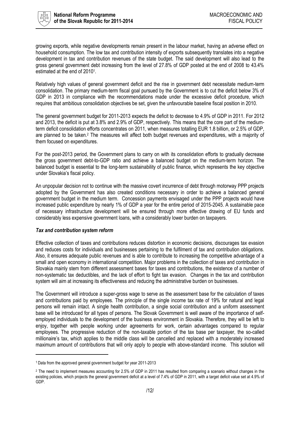

growing exports, while negative developments remain present in the labour market, having an adverse effect on household consumption. The low tax and contribution intensity of exports subsequently translates into a negative development in tax and contribution revenues of the state budget. The said development will also lead to the gross general government debt increasing from the level of 27.8% of GDP posted at the end of 2008 to 43.4% estimated at the end of 2010<sup>1</sup>.

Relatively high values of general government deficit and the rise in government debt necessitate medium-term consolidation. The primary medium-term fiscal goal pursued by the Government is to cut the deficit below 3% of GDP in 2013 in compliance with the recommendations made under the excessive deficit procedure, which requires that ambitious consolidation objectives be set, given the unfavourable baseline fiscal position in 2010.

The general government budget for 2011-2013 expects the deficit to decrease to 4.9% of GDP in 2011. For 2012 and 2013, the deficit is put at 3.8% and 2.9% of GDP, respectively. This means that the core part of the mediumterm deficit consolidation efforts concentrates on 2011, when measures totalling EUR 1.8 billion, or 2.5% of GDP, are planned to be taken.<sup>2</sup> The measures will affect both budget revenues and expenditures, with a majority of them focused on expenditures.

For the post-2013 period, the Government plans to carry on with its consolidation efforts to gradually decrease the gross government debt-to-GDP ratio and achieve a balanced budget on the medium-term horizon. The balanced budget is essential to the long-term sustainability of public finance, which represents the key objective under Slovakia's fiscal policy.

An unpopular decision not to continue with the massive covert incurrence of debt through motorway PPP projects adopted by the Government has also created conditions necessary in order to achieve a balanced general government budget in the medium term. Concession payments envisaged under the PPP projects would have increased public expenditure by nearly 1% of GDP a year for the entire period of 2015-2045. A sustainable pace of necessary infrastructure development will be ensured through more effective drawing of EU funds and considerably less expensive government loans, with a considerably lower burden on taxpayers.

#### *Tax and contribution system reform*

Effective collection of taxes and contributions reduces distortion in economic decisions, discourages tax evasion and reduces costs for individuals and businesses pertaining to the fulfilment of tax and contribution obligations. Also, it ensures adequate public revenues and is able to contribute to increasing the competitive advantage of a small and open economy in international competition. Major problems in the collection of taxes and contribution in Slovakia mainly stem from different assessment bases for taxes and contributions, the existence of a number of non-systematic tax deductibles, and the lack of effort to fight tax evasion. Changes in the tax and contribution system will aim at increasing its effectiveness and reducing the administrative burden on businesses.

The Government will introduce a super-gross wage to serve as the assessment base for the calculation of taxes and contributions paid by employees. The principle of the single income tax rate of 19% for natural and legal persons will remain intact. A single health contribution, a single social contribution and a uniform assessment base will be introduced for all types of persons. The Slovak Government is well aware of the importance of selfemployed individuals to the development of the business environment in Slovakia. Therefore, they will be left to enjoy, together with people working under agreements for work, certain advantages compared to regular employees. The progressive reduction of the non-taxable portion of the tax base per taxpayer, the so-called millionaire's tax, which applies to the middle class will be cancelled and replaced with a moderately increased maximum amount of contributions that will only apply to people with above-standard income. This solution will

 $\overline{\phantom{0}}$ 

<sup>1</sup> Data from the approved general government budget for year 2011-2013

<sup>&</sup>lt;sup>2</sup> The need to implement measures accounting for 2.5% of GDP in 2011 has resulted from comparing a scenario without changes in the existing policies, which projects the general government deficit at a level of 7.4% of GDP in 2011, with a target deficit value set at 4.9% of GDP.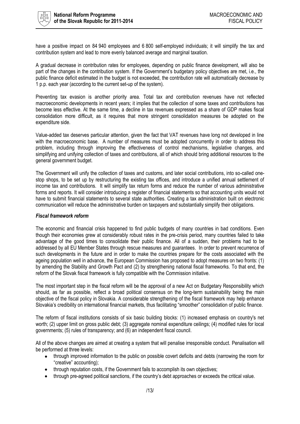

have a positive impact on 84 940 employees and 6 800 self-employed individuals; it will simplify the tax and contribution system and lead to more evenly balanced average and marginal taxation.

A gradual decrease in contribution rates for employees, depending on public finance development, will also be part of the changes in the contribution system. If the Government's budgetary policy objectives are met, i.e., the public finance deficit estimated in the budget is not exceeded, the contribution rate will automatically decrease by 1 p.p. each year (according to the current set-up of the system).

Preventing tax evasion is another priority area. Total tax and contribution revenues have not reflected macroeconomic developments in recent years; it implies that the collection of some taxes and contributions has become less effective. At the same time, a decline in tax revenues expressed as a share of GDP makes fiscal consolidation more difficult, as it requires that more stringent consolidation measures be adopted on the expenditure side.

Value-added tax deserves particular attention, given the fact that VAT revenues have long not developed in line with the macroeconomic base. A number of measures must be adopted concurrently in order to address this problem, including through improving the effectiveness of control mechanisms, legislative changes, and simplifying and unifying collection of taxes and contributions, all of which should bring additional resources to the general government budget.

The Government will unify the collection of taxes and customs, and later social contributions, into so-called onestop shops, to be set up by restructuring the existing tax offices, and introduce a unified annual settlement of income tax and contributions. It will simplify tax return forms and reduce the number of various administrative forms and reports. It will consider introducing a register of financial statements so that accounting units would not have to submit financial statements to several state authorities. Creating a tax administration built on electronic communication will reduce the administrative burden on taxpayers and substantially simplify their obligations.

#### *Fiscal framework reform*

The economic and financial crisis happened to find public budgets of many countries in bad conditions. Even though their economies grew at considerably robust rates in the pre-crisis period, many countries failed to take advantage of the good times to consolidate their public finance. All of a sudden, their problems had to be addressed by all EU Member States through rescue measures and guarantees. In order to prevent recurrence of such developments in the future and in order to make the countries prepare for the costs associated with the ageing population well in advance, the European Commission has proposed to adopt measures on two fronts: (1) by amending the Stability and Growth Pact and (2) by strengthening national fiscal frameworks. To that end, the reform of the Slovak fiscal framework is fully compatible with the Commission initiative.

The most important step in the fiscal reform will be the approval of a new Act on Budgetary Responsibility which should, as far as possible, reflect a broad political consensus on the long-term sustainability being the main objective of the fiscal policy in Slovakia. A considerable strengthening of the fiscal framework may help enhance Slovakia's credibility on international financial markets, thus facilitating "smoother" consolidation of public finance.

The reform of fiscal institutions consists of six basic building blocks: (1) increased emphasis on country's net worth; (2) upper limit on gross public debt; (3) aggregate nominal expenditure ceilings; (4) modified rules for local governments; (5) rules of transparency; and (6) an independent fiscal council.

All of the above changes are aimed at creating a system that will penalise irresponsible conduct. Penalisation will be performed at three levels:

- through improved information to the public on possible covert deficits and debts (narrowing the room for "creative" accounting);
- through reputation costs, if the Government fails to accomplish its own objectives;
- through pre-agreed political sanctions, if the country's debt approaches or exceeds the critical value.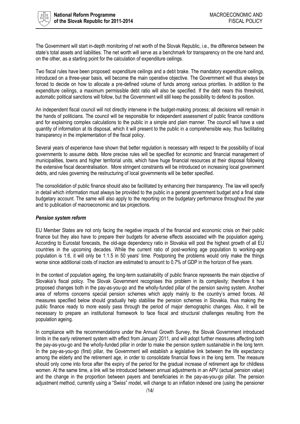

The Government will start in-depth monitoring of net worth of the Slovak Republic, i.e., the difference between the state's total assets and liabilities. The net worth will serve as a benchmark for transparency on the one hand and, on the other, as a starting point for the calculation of expenditure ceilings.

Two fiscal rules have been proposed: expenditure ceilings and a debt brake. The mandatory expenditure ceilings, introduced on a three-year basis, will become the main operative objective. The Government will thus always be forced to decide on how to allocate a pre-defined volume of funds among various priorities. In addition to the expenditure ceilings, a maximum permissible debt ratio will also be specified. If the debt nears this threshold, automatic political sanctions will follow, but the Government will still keep the possibility to defend its position.

An independent fiscal council will not directly intervene in the budget-making process; all decisions will remain in the hands of politicians. The council will be responsible for independent assessment of public finance conditions and for explaining complex calculations to the public in a simple and plain manner. The council will have a vast quantity of information at its disposal, which it will present to the public in a comprehensible way, thus facilitating transparency in the implementation of the fiscal policy.

Several years of experience have shown that better regulation is necessary with respect to the possibility of local governments to assume debts. More precise rules will be specified for economic and financial management of municipalities, towns and higher territorial units, which have huge financial resources at their disposal following the extensive fiscal decentralisation. More stringent constraints will be introduced on increasing local government debts, and rules governing the restructuring of local governments will be better specified.

The consolidation of public finance should also be facilitated by enhancing their transparency. The law will specify in detail which information must always be provided to the public in a general government budget and a final state budgetary account. The same will also apply to the reporting on the budgetary performance throughout the year and to publication of macroeconomic and tax projections.

#### *Pension system reform*

EU Member States are not only facing the negative impacts of the financial and economic crisis on their public finance but they also have to prepare their budgets for adverse effects associated with the population ageing. According to Eurostat forecasts, the old-age dependency ratio in Slovakia will post the highest growth of all EU countries in the upcoming decades. While the current ratio of post-working age population to working-age population is 1:6, it will only be 1:1.5 in 50 years' time. Postponing the problems would only make the things worse since additional costs of inaction are estimated to amount to 0.7% of GDP in the horizon of five years.

In the context of population ageing, the long-term sustainability of public finance represents the main objective of Slovakia's fiscal policy. The Slovak Government recognises this problem in its complexity; therefore it has proposed changes both in the pay-as-you-go and the wholly-funded pillar of the pension saving system. Another area of reforms concerns special pension schemes which apply mainly to the country's armed forces. All measures specified below should gradually help stabilise the pension schemes in Slovakia, thus making the public finance ready to more easily pass through the period of major demographic changes. Also, it will be necessary to prepare an institutional framework to face fiscal and structural challenges resulting from the population ageing.

In compliance with the recommendations under the Annual Growth Survey, the Slovak Government introduced limits in the early retirement system with effect from January 2011, and will adopt further measures affecting both the pay-as-you-go and the wholly-funded pillar in order to make the pension system sustainable in the long term. In the pay-as-you-go (first) pillar, the Government will establish a legislative link between the life expectancy among the elderly and the retirement age, in order to consolidate financial flows in the long term. The measure should only come into force after the expiry of the period for the gradual increase of retirement age for childless women. At the same time, a link will be introduced between annual adjustments in an APV (actual pension value) and the change in the proportion between payers and beneficiaries in the pay-as-you-go pillar. The pension adjustment method, currently using a "Swiss" model, will change to an inflation indexed one (using the pensioner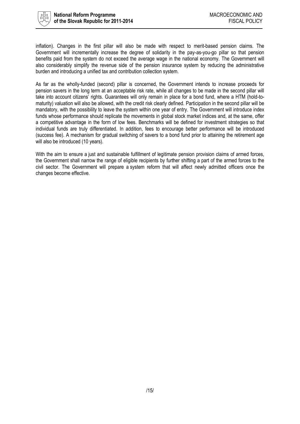

inflation). Changes in the first pillar will also be made with respect to merit-based pension claims. The Government will incrementally increase the degree of solidarity in the pay-as-you-go pillar so that pension benefits paid from the system do not exceed the average wage in the national economy. The Government will also considerably simplify the revenue side of the pension insurance system by reducing the administrative burden and introducing a unified tax and contribution collection system.

As far as the wholly-funded (second) pillar is concerned, the Government intends to increase proceeds for pension savers in the long term at an acceptable risk rate, while all changes to be made in the second pillar will take into account citizens' rights. Guarantees will only remain in place for a bond fund, where a HTM (hold-tomaturity) valuation will also be allowed, with the credit risk clearly defined. Participation in the second pillar will be mandatory, with the possibility to leave the system within one year of entry. The Government will introduce index funds whose performance should replicate the movements in global stock market indices and, at the same, offer a competitive advantage in the form of low fees. Benchmarks will be defined for investment strategies so that individual funds are truly differentiated. In addition, fees to encourage better performance will be introduced (success fee). A mechanism for gradual switching of savers to a bond fund prior to attaining the retirement age will also be introduced (10 years).

With the aim to ensure a just and sustainable fulfillment of legitimate pension provision claims of armed forces, the Government shall narrow the range of eligible recipients by further shifting a part of the armed forces to the civil sector. The Government will prepare a system reform that will affect newly admitted officers once the changes become effective.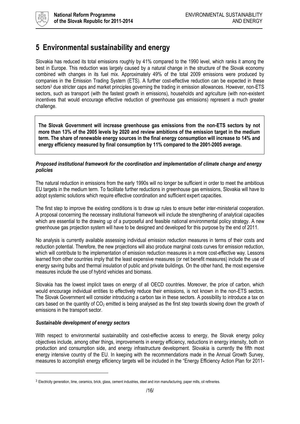## <span id="page-15-0"></span>**5 Environmental sustainability and energy**

Slovakia has reduced its total emissions roughly by 41% compared to the 1990 level, which ranks it among the best in Europe. This reduction was largely caused by a natural change in the structure of the Slovak economy combined with changes in its fuel mix. Approximately 49% of the total 2009 emissions were produced by companies in the Emission Trading System (ETS). A further cost-effective reduction can be expected in these sectors<sup>3</sup> due stricter caps and market principles governing the trading in emission allowances. However, non-ETS sectors, such as transport (with the fastest growth in emissions), households and agriculture (with non-existent incentives that would encourage effective reduction of greenhouse gas emissions) represent a much greater challenge.

**The Slovak Government will increase greenhouse gas emissions from the non-ETS sectors by not more than 13% of the 2005 levels by 2020 and review ambitions of the emission target in the medium term. The share of renewable energy sources in the final energy consumption will increase to 14% and energy efficiency measured by final consumption by 11% compared to the 2001-2005 average.**

#### *Proposed institutional framework for the coordination and implementation of climate change and energy policies*

The natural reduction in emissions from the early 1990s will no longer be sufficient in order to meet the ambitious EU targets in the medium term. To facilitate further reductions in greenhouse gas emissions, Slovakia will have to adopt systemic solutions which require effective coordination and sufficient expert capacities.

The first step to improve the existing conditions is to draw up rules to ensure better inter-ministerial cooperation. A proposal concerning the necessary institutional framework will include the strengthening of analytical capacities which are essential to the drawing up of a purposeful and feasible national environmental policy strategy. A new greenhouse gas projection system will have to be designed and developed for this purpose by the end of 2011.

No analysis is currently available assessing individual emission reduction measures in terms of their costs and reduction potential. Therefore, the new projections will also produce marginal costs curves for emission reduction, which will contribute to the implementation of emission reduction measures in a more cost-effective way. Lessons learned from other countries imply that the least expensive measures (or net benefit measures) include the use of energy saving bulbs and thermal insulation of public and private buildings. On the other hand, the most expensive measures include the use of hybrid vehicles and biomass.

Slovakia has the lowest implicit taxes on energy of all OECD countries. Moreover, the price of carbon, which would encourage individual entities to effectively reduce their emissions, is not known in the non-ETS sectors. The Slovak Government will consider introducing a carbon tax in these sectors. A possibility to introduce a tax on cars based on the quantity of  $CO<sub>2</sub>$  emitted is being analysed as the first step towards slowing down the growth of emissions in the transport sector.

#### *Sustainable development of energy sectors*

 $\overline{a}$ 

With respect to environmental sustainability and cost-effective access to energy, the Slovak energy policy objectives include, among other things, improvements in energy efficiency, reductions in energy intensity, both on production and consumption side, and energy infrastructure development. Slovakia is currently the fifth most energy intensive country of the EU. In keeping with the recommendations made in the Annual Growth Survey, measures to accomplish energy efficiency targets will be included in the "Energy Efficiency Action Plan for 2011-

<sup>&</sup>lt;sup>3</sup> Electricity generation, lime, ceramics, brick, glass, cement industries, steel and iron manufacturing, paper mills, oil refineries.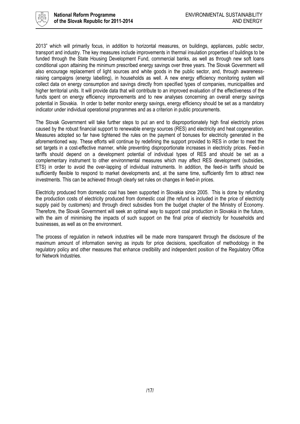

2013" which will primarily focus, in addition to horizontal measures, on buildings, appliances, public sector, transport and industry. The key measures include improvements in thermal insulation properties of buildings to be funded through the State Housing Development Fund, commercial banks, as well as through new soft loans conditional upon attaining the minimum prescribed energy savings over three years. The Slovak Government will also encourage replacement of light sources and white goods in the public sector, and, through awarenessraising campaigns (energy labelling), in households as well. A new energy efficiency monitoring system will collect data on energy consumption and savings directly from specified types of companies, municipalities and higher territorial units. It will provide data that will contribute to an improved evaluation of the effectiveness of the funds spent on energy efficiency improvements and to new analyses concerning an overall energy savings potential in Slovakia. In order to better monitor energy savings, energy efficiency should be set as a mandatory indicator under individual operational programmes and as a criterion in public procurements.

The Slovak Government will take further steps to put an end to disproportionately high final electricity prices caused by the robust financial support to renewable energy sources (RES) and electricity and heat cogeneration. Measures adopted so far have tightened the rules on the payment of bonuses for electricity generated in the aforementioned way. These efforts will continue by redefining the support provided to RES in order to meet the set targets in a cost-effective manner, while preventing disproportionate increases in electricity prices. Feed-in tariffs should depend on a development potential of individual types of RES and should be set as a complementary instrument to other environmental measures which may affect RES development (subsidies, ETS) in order to avoid the over-lapping of individual instruments. In addition, the feed-in tariffs should be sufficiently flexible to respond to market developments and, at the same time, sufficiently firm to attract new investments. This can be achieved through clearly set rules on changes in feed-in prices.

Electricity produced from domestic coal has been supported in Slovakia since 2005. This is done by refunding the production costs of electricity produced from domestic coal (the refund is included in the price of electricity supply paid by customers) and through direct subsidies from the budget chapter of the Ministry of Economy. Therefore, the Slovak Government will seek an optimal way to support coal production in Slovakia in the future, with the aim of minimising the impacts of such support on the final price of electricity for households and businesses, as well as on the environment.

The process of regulation in network industries will be made more transparent through the disclosure of the maximum amount of information serving as inputs for price decisions, specification of methodology in the regulatory policy and other measures that enhance credibility and independent position of the Regulatory Office for Network Industries.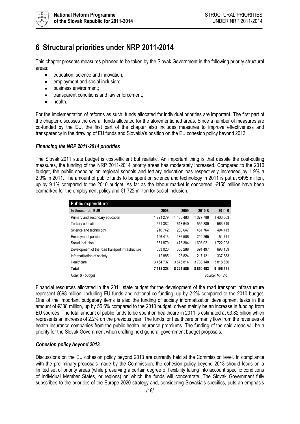

### <span id="page-17-0"></span>**6 Structural priorities under NRP 2011-2014**

This chapter presents measures planned to be taken by the Slovak Government in the following priority structural areas:

- education, science and innovation;  $\bullet$
- employment and social inclusion;
- business environment;
- transparent conditions and law enforcement;
- health.

For the implementation of reforms as such, funds allocated for individual priorities are important. The first part of the chapter discusses the overall funds allocated for the aforementioned areas. Since a number of measures are co-funded by the EU, the first part of the chapter also includes measures to improve effectiveness and transparency in the drawing of EU funds and Slovakia's position on the EU cohesion policy beyond 2013.

#### *Financing the NRP 2011-2014 priorities*

The Slovak 2011 state budget is cost-efficient but realistic. An important thing is that despite the cost-cutting measures, the funding of the NRP 2011-2014 priority areas has moderately increased. Compared to the 2010 budget, the public spending on regional schools and tertiary education has respectively increased by 1.9% a 2.0% in 2011. The amount of public funds to be spent on science and technology in 2011 is put at €495 million, up by 9.1% compared to the 2010 budget. As far as the labour market is concerned, €155 million have been earmarked for the employment policy and €1 722 million for social inclusion.

| <b>Public expenditure</b>                        |             |               |           |           |  |  |  |
|--------------------------------------------------|-------------|---------------|-----------|-----------|--|--|--|
| In thousands, EUR                                | 2008        | 2009          | 2010 B    | 2011 B    |  |  |  |
| Primary and secondary education                  | 1 221 279   | 1 436 483     | 1 377 788 | 1403663   |  |  |  |
| Tertiary education                               | 571 382     | 613 640       | 555 889   | 566 719   |  |  |  |
| Science and technology                           | 210 742     | 280 647       | 451764    | 494 713   |  |  |  |
| <b>Employment policies</b>                       | 196 413     | 186 506       | 210 265   | 154 711   |  |  |  |
| Social inclusion                                 | 1 331 870   | 1 473 384     | 1608021   | 1722023   |  |  |  |
| Development of the road transport infrastructure | 503 020     | 630 288       | 691 497   | 698 159   |  |  |  |
| Informatization of society                       | 12885       | 23824         | 217 121   | 337883    |  |  |  |
| Healthcare                                       | 3 4 64 7 37 | 3576814       | 3738148   | 3818680   |  |  |  |
| <b>Total</b>                                     | 7 512 328   | 8 2 2 1 5 8 6 | 8 850 493 | 9 196 551 |  |  |  |
| Source: MF SR<br>Note: B - budaet                |             |               |           |           |  |  |  |

Financial resources allocated in the 2011 state budget for the development of the road transport infrastructure represent €698 million, including EU funds and national co-funding, up by 2.2% compared to the 2010 budget. One of the important budgetary items is also the funding of society informatization development tasks in the amount of €338 million, up by 55.6% compared to the 2010 budget, driven mainly be an increase in funding from EU sources. The total amount of public funds to be spent on healthcare in 2011 is estimated at  $\epsilon$ 3.82 billion which represents an increase of 2.2% on the previous year. The funds for healthcare primarily flow from the revenues of health insurance companies from the public health insurance premiums. The funding of the said areas will be a priority for the Slovak Government when drafting next general government budget proposals.

#### *Cohesion policy beyond 2013*

Discussions on the EU cohesion policy beyond 2013 are currently held at the Commission level. In compliance with the preliminary proposals made by the Commission, the cohesion policy beyond 2013 should focus on a limited set of priority areas (while preserving a certain degree of flexibility taking into account specific conditions of individual Member States, or regions) on which the funds will concentrate. The Slovak Government fully subscribes to the priorities of the Europe 2020 strategy and, considering Slovakia's specifics, puts an emphasis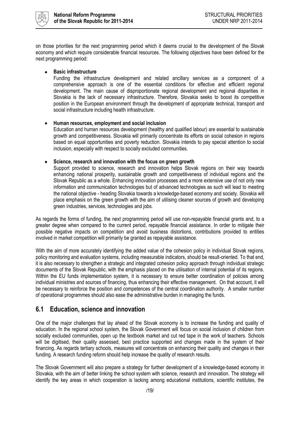

on those priorities for the next programming period which it deems crucial to the development of the Slovak economy and which require considerable financial resources. The following objectives have been defined for the next programming period:

#### **Basic infrastructure**

Funding the infrastructure development and related ancillary services as a component of a comprehensive approach is one of the essential conditions for effective and efficient regional development. The main cause of disproportionate regional development and regional disparities in Slovakia is the lack of necessary infrastructure. Therefore, Slovakia seeks to boost its competitive position in the European environment through the development of appropriate technical, transport and social infrastructure including health infrastructure.

#### **Human resources, employment and social inclusion**  $\bullet$

Education and human resources development (healthy and qualified labour) are essential to sustainable growth and competitiveness. Slovakia will primarily concentrate its efforts on social cohesion in regions based on equal opportunities and poverty reduction. Slovakia intends to pay special attention to social inclusion, especially with respect to socially excluded communities.

#### $\bullet$ **Science, research and innovation with the focus on green growth**

Support provided to science, research and innovation helps Slovak regions on their way towards enhancing national prosperity, sustainable growth and competitiveness of individual regions and the Slovak Republic as a whole. Enhancing innovation processes and a more extensive use of not only new information and communication technologies but of advanced technologies as such will lead to meeting the national objective - heading Slovakia towards a knowledge-based economy and society. Slovakia will place emphasis on the green growth with the aim of utilising cleaner sources of growth and developing green industries, services, technologies and jobs.

As regards the forms of funding, the next programming period will use non-repayable financial grants and, to a greater degree when compared to the current period, repayable financial assistance. In order to mitigate their possible negative impacts on competition and avoid business distortions, contributions provided to entities involved in market competition will primarily be granted as repayable assistance.

With the aim of more accurately identifying the added value of the cohesion policy in individual Slovak regions, policy monitoring and evaluation systems, including measurable indicators, should be result-oriented. To that end, it is also necessary to strengthen a strategic and integrated cohesion policy approach through individual strategic documents of the Slovak Republic, with the emphasis placed on the utilisation of internal potential of its regions. Within the EU funds implementation system, it is necessary to ensure better coordination of policies among individual ministries and sources of financing, thus enhancing their effective management. On that account, it will be necessary to reinforce the position and competences of the central coordination authority. A smaller number of operational programmes should also ease the administrative burden in managing the funds.

### <span id="page-18-0"></span>**6.1 Education, science and innovation**

One of the major challenges that lay ahead of the Slovak economy is to increase the funding and quality of education. In the regional school system, the Slovak Government will focus on social inclusion of children from socially excluded communities, open up the textbook market and cut red tape in the work of teachers. Schools will be digitised, their quality assessed, best practice supported and changes made in the system of their financing. As regards tertiary schools, measures will concentrate on enhancing their quality and changes in their funding. A research funding reform should help increase the quality of research results.

The Slovak Government will also prepare a strategy for further development of a knowledge-based economy in Slovakia, with the aim of better linking the school system with science, research and innovation. The strategy will identify the key areas in which cooperation is lacking among educational institutions, scientific institutes, the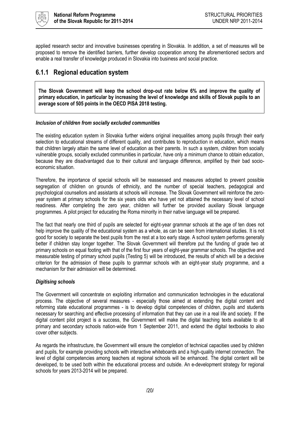

applied research sector and innovative businesses operating in Slovakia. In addition, a set of measures will be proposed to remove the identified barriers, further develop cooperation among the aforementioned sectors and enable a real transfer of knowledge produced in Slovakia into business and social practice.

### <span id="page-19-0"></span>**6.1.1 Regional education system**

**The Slovak Government will keep the school drop-out rate below 6% and improve the quality of primary education, in particular by increasing the level of knowledge and skills of Slovak pupils to an average score of 505 points in the OECD PISA 2018 testing.**

#### *Inclusion of children from socially excluded communities*

The existing education system in Slovakia further widens original inequalities among pupils through their early selection to educational streams of different quality, and contributes to reproduction in education, which means that children largely attain the same level of education as their parents. In such a system, children from socially vulnerable groups, socially excluded communities in particular, have only a minimum chance to obtain education, because they are disadvantaged due to their cultural and language difference, amplified by their bad socioeconomic situation.

Therefore, the importance of special schools will be reassessed and measures adopted to prevent possible segregation of children on grounds of ethnicity, and the number of special teachers, pedagogical and psychological counsellors and assistants at schools will increase. The Slovak Government will reinforce the zeroyear system at primary schools for the six years olds who have yet not attained the necessary level of school readiness. After completing the zero year, children will further be provided auxiliary Slovak language programmes. A pilot project for educating the Roma minority in their native language will be prepared.

The fact that nearly one third of pupils are selected for eight-year grammar schools at the age of ten does not help improve the quality of the educational system as a whole, as can be seen from international studies. It is not good for society to separate the best pupils from the rest at a too early stage. A school system performs generally better if children stay longer together. The Slovak Government will therefore put the funding of grade two at primary schools on equal footing with that of the first four years of eight-year grammar schools. The objective and measurable testing of primary school pupils (Testing 5) will be introduced, the results of which will be a decisive criterion for the admission of these pupils to grammar schools with an eight-year study programme, and a mechanism for their admission will be determined.

#### *Digitising schools*

The Government will concentrate on exploiting information and communication technologies in the educational process. The objective of several measures - especially those aimed at extending the digital content and reforming state educational programmes - is to develop digital competencies of children, pupils and students necessary for searching and effective processing of information that they can use in a real life and society. If the digital content pilot project is a success, the Government will make the digital teaching texts available to all primary and secondary schools nation-wide from 1 September 2011, and extend the digital textbooks to also cover other subjects.

As regards the infrastructure, the Government will ensure the completion of technical capacities used by children and pupils, for example providing schools with interactive whiteboards and a high-quality internet connection. The level of digital competencies among teachers at regional schools will be enhanced. The digital content will be developed, to be used both within the educational process and outside. An e-development strategy for regional schools for years 2013-2014 will be prepared.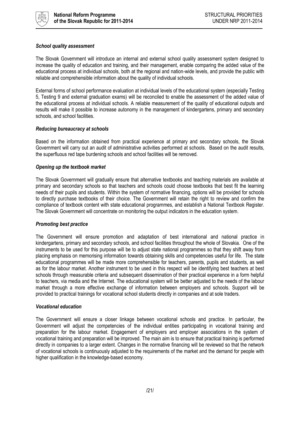

#### *School quality assessment*

The Slovak Government will introduce an internal and external school quality assessment system designed to increase the quality of education and training, and their management, enable comparing the added value of the educational process at individual schools, both at the regional and nation-wide levels, and provide the public with reliable and comprehensible information about the quality of individual schools.

External forms of school performance evaluation at individual levels of the educational system (especially Testing 5, Testing 9 and external graduation exams) will be reconciled to enable the assessment of the added value of the educational process at individual schools. A reliable measurement of the quality of educational outputs and results will make it possible to increase autonomy in the management of kindergartens, primary and secondary schools, and school facilities.

#### *Reducing bureaucracy at schools*

Based on the information obtained from practical experience at primary and secondary schools, the Slovak Government will carry out an audit of administrative activities performed at schools. Based on the audit results, the superfluous red tape burdening schools and school facilities will be removed.

#### *Opening up the textbook market*

The Slovak Government will gradually ensure that alternative textbooks and teaching materials are available at primary and secondary schools so that teachers and schools could choose textbooks that best fit the learning needs of their pupils and students. Within the system of normative financing, options will be provided for schools to directly purchase textbooks of their choice. The Government will retain the right to review and confirm the compliance of textbook content with state educational programmes, and establish a National Textbook Register. The Slovak Government will concentrate on monitoring the output indicators in the education system.

#### *Promoting best practice*

The Government will ensure promotion and adaptation of best international and national practice in kindergartens, primary and secondary schools, and school facilities throughout the whole of Slovakia. One of the instruments to be used for this purpose will be to adjust state national programmes so that they shift away from placing emphasis on memorising information towards obtaining skills and competencies useful for life. The state educational programmes will be made more comprehensible for teachers, parents, pupils and students, as well as for the labour market. Another instrument to be used in this respect will be identifying best teachers at best schools through measurable criteria and subsequent dissemination of their practical experience in a form helpful to teachers, via media and the Internet. The educational system will be better adjusted to the needs of the labour market through a more effective exchange of information between employers and schools. Support will be provided to practical trainings for vocational school students directly in companies and at sole traders.

#### *Vocational education*

The Government will ensure a closer linkage between vocational schools and practice. In particular, the Government will adjust the competencies of the individual entities participating in vocational training and preparation for the labour market. Engagement of employers and employer associations in the system of vocational training and preparation will be improved. The main aim is to ensure that practical training is performed directly in companies to a larger extent. Changes in the normative financing will be reviewed so that the network of vocational schools is continuously adjusted to the requirements of the market and the demand for people with higher qualification in the knowledge-based economy.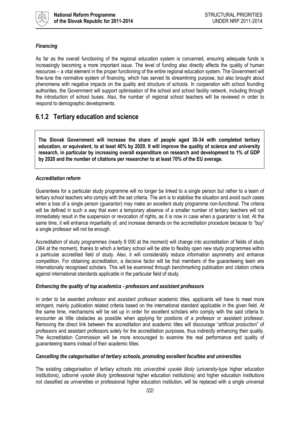

#### *Financing*

As far as the overall functioning of the regional education system is concerned, ensuring adequate funds is increasingly becoming a more important issue. The level of funding also directly affects the quality of human resources – a vital element in the proper functioning of the entire regional education system. The Government will fine-tune the normative system of financing, which has served its streamlining purpose, but also brought about phenomena with negative impacts on the quality and structure of schools. In cooperation with school founding authorities, the Government will support optimisation of the school and school facility network, including through the introduction of school buses. Also, the number of regional school teachers will be reviewed in order to respond to demographic developments.

### <span id="page-21-0"></span>**6.1.2 Tertiary education and science**

**The Slovak Government will increase the share of people aged 30-34 with completed tertiary education, or equivalent, to at least 40% by 2020. It will improve the quality of science and university research, in particular by increasing overall expenditure on research and development to 1% of GDP by 2020 and the number of citations per researcher to at least 70% of the EU average.**

#### *Accreditation reform*

Guarantees for a particular study programme will no longer be linked to a single person but rather to a team of tertiary school teachers who comply with the set criteria. The aim is to stabilise the situation and avoid such cases when a loss of a single person (guarantor) may make an excellent study programme non-functional. The criteria will be defined in such a way that even a temporary absence of a smaller number of tertiary teachers will not immediately result in the suspension or revocation of rights, as it is now in case when a guarantor is lost. At the same time, it will enhance impartiality of, and increase demands on the accreditation procedure because to "buy" a single professor will not be enough.

Accreditation of study programmes (nearly 8 000 at the moment) will change into accreditation of fields of study (364 at the moment), thanks to which a tertiary school will be able to flexibly open new study programmes within a particular accredited field of study. Also, it will considerably reduce information asymmetry and enhance competition. For obtaining accreditation, a decisive factor will be that members of the guaranteeing team are internationally recognised scholars. This will be examined through benchmarking publication and citation criteria against international standards applicable in the particular field of study.

#### *Enhancing the quality of top academics - professors and assistant professors*

In order to be awarded *professor* and *assistant professor* academic titles, applicants will have to meet more stringent, mainly publication related criteria based on the international standard applicable in the given field. At the same time, mechanisms will be set up in order for excellent scholars who comply with the said criteria to encounter as little obstacles as possible when applying for positions of a professor or assistant professor. Removing the direct link between the accreditation and academic titles will discourage "artificial production" of professors and assistant professors solely for the accreditation purposes, thus indirectly enhancing their quality. The Accreditation Commission will be more encouraged to examine the real performance and quality of guaranteeing teams instead of their academic titles.

#### *Cancelling the categorisation of tertiary schools, promoting excellent faculties and universities*

The existing categorisation of tertiary schools into *univerzitné vysoké školy* (university-type higher education institutions), *odborné vysoké školy* (professional higher education institutions) and higher education institutions not classified as universities or professional higher education institution, will be replaced with a single universal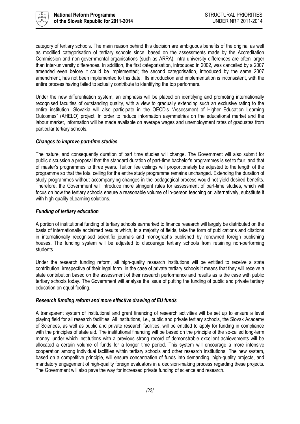

category of tertiary schools. The main reason behind this decision are ambiguous benefits of the original as well as modified categorisation of tertiary schools since, based on the assessments made by the Accreditation Commission and non-governmental organisations (such as ARRA), intra-university differences are often larger than inter-university differences. In addition, the first categorisation, introduced in 2002, was cancelled by a 2007 amended even before it could be implemented; the second categorisation, introduced by the same 2007 amendment, has not been implemented to this date. Its introduction and implementation is inconsistent, with the entire process having failed to actually contribute to identifying the top performers.

Under the new differentiation system, an emphasis will be placed on identifying and promoting internationally recognised faculties of outstanding quality, with a view to gradually extending such an exclusive rating to the entire institution. Slovakia will also participate in the OECD's "Assessment of Higher Education Learning Outcomes" (AHELO) project. In order to reduce information asymmetries on the educational market and the labour market, information will be made available on average wages and unemployment rates of graduates from particular tertiary schools.

#### *Changes to improve part-time studies*

The nature, and consequently duration of part time studies will change. The Government will also submit for public discussion a proposal that the standard duration of part-time bachelor's programmes is set to four, and that of master's programmes to three years. Tuition fee ceilings will proportionately be adjusted to the length of the programme so that the total ceiling for the entire study programme remains unchanged. Extending the duration of study programmes without accompanying changes in the pedagogical process would not yield desired benefits. Therefore, the Government will introduce more stringent rules for assessment of part-time studies, which will focus on how the tertiary schools ensure a reasonable volume of in-person teaching or, alternatively, substitute it with high-quality eLearning solutions.

#### *Funding of tertiary education*

A portion of institutional funding of tertiary schools earmarked to finance research will largely be distributed on the basis of internationally acclaimed results which, in a majority of fields, take the form of publications and citations in internationally recognised scientific journals and monographs published by renowned foreign publishing houses. The funding system will be adjusted to discourage tertiary schools from retaining non-performing students.

Under the research funding reform, all high-quality research institutions will be entitled to receive a state contribution, irrespective of their legal form. In the case of private tertiary schools it means that they will receive a state contribution based on the assessment of their research performance and results as is the case with public tertiary schools today. The Government will analyse the issue of putting the funding of public and private tertiary education on equal footing.

#### *Research funding reform and more effective drawing of EU funds*

A transparent system of institutional and grant financing of research activities will be set up to ensure a level playing field for all research facilities. All institutions, i.e., public and private tertiary schools, the Slovak Academy of Sciences, as well as public and private research facilities, will be entitled to apply for funding in compliance with the principles of state aid. The institutional financing will be based on the principle of the so-called long-term money, under which institutions with a previous strong record of demonstrable excellent achievements will be allocated a certain volume of funds for a longer time period. This system will encourage a more intensive cooperation among individual facilities within tertiary schools and other research institutions. The new system, based on a competitive principle, will ensure concentration of funds into demanding, high-quality projects, and mandatory engagement of high-quality foreign evaluators in a decision-making process regarding these projects. The Government will also pave the way for increased private funding of science and research.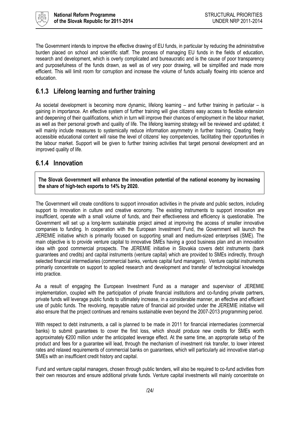

The Government intends to improve the effective drawing of EU funds, in particular by reducing the administrative burden placed on school and scientific staff. The process of managing EU funds in the fields of education, research and development, which is overly complicated and bureaucratic and is the cause of poor transparency and purposefulness of the funds drawn, as well as of very poor drawing, will be simplified and made more efficient. This will limit room for corruption and increase the volume of funds actually flowing into science and education.

### <span id="page-23-0"></span>**6.1.3 Lifelong learning and further training**

As societal development is becoming more dynamic, lifelong learning – and further training in particular – is gaining in importance. An effective system of further training will give citizens easy access to flexible extension and deepening of their qualifications, which in turn will improve their chances of employment in the labour market, as well as their personal growth and quality of life. The lifelong learning strategy will be reviewed and updated; it will mainly include measures to systemically reduce information asymmetry in further training. Creating freely accessible educational content will raise the level of citizens' key competencies, facilitating their opportunities in the labour market. Support will be given to further training activities that target personal development and an improved quality of life.

### <span id="page-23-1"></span>**6.1.4 Innovation**

**The Slovak Government will enhance the innovation potential of the national economy by increasing the share of high-tech exports to 14% by 2020.** 

The Government will create conditions to support innovation activities in the private and public sectors, including support to innovation in culture and creative economy. The existing instruments to support innovation are insufficient, operate with a small volume of funds, and their effectiveness and efficiency is questionable. The Government will set up a long-term sustainable project aimed at improving the access of smaller innovative companies to funding. In cooperation with the European Investment Fund, the Government will launch the JEREMIE initiative which is primarily focused on supporting small and medium-sized enterprises (SME). The main objective is to provide venture capital to innovative SMEs having a good business plan and an innovation idea with good commercial prospects. The JEREMIE initiative in Slovakia covers debt instruments (bank guarantees and credits) and capital instruments (venture capital) which are provided to SMEs indirectly, through selected financial intermediaries (commercial banks, venture capital fund managers). Venture capital instruments primarily concentrate on support to applied research and development and transfer of technological knowledge into practice.

As a result of engaging the European Investment Fund as a manager and supervisor of JEREMIE implementation, coupled with the participation of private financial institutions and co-funding private partners, private funds will leverage public funds to ultimately increase, in a considerable manner, an effective and efficient use of public funds. The revolving, repayable nature of financial aid provided under the JEREMIE initiative will also ensure that the project continues and remains sustainable even beyond the 2007-2013 programming period.

With respect to debt instruments, a call is planned to be made in 2011 for financial intermediaries (commercial banks) to submit guarantees to cover the first loss, which should produce new credits for SMEs worth approximately €200 million under the anticipated leverage effect. At the same time, an appropriate setup of the product and fees for a guarantee will lead, through the mechanism of investment risk transfer, to lower interest rates and relaxed requirements of commercial banks on guarantees, which will particularly aid innovative start-up SMEs with an insufficient credit history and capital.

Fund and venture capital managers, chosen through public tenders, will also be required to co-fund activities from their own resources and ensure additional private funds. Venture capital investments will mainly concentrate on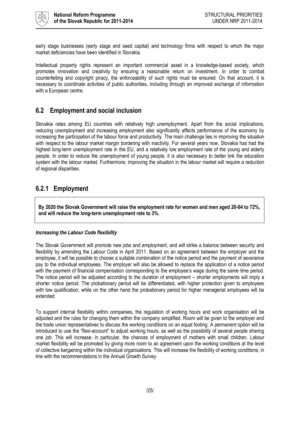

early stage businesses (early stage and seed capital) and technology firms with respect to which the major market deficiencies have been identified in Slovakia.

Intellectual property rights represent an important commercial asset in a knowledge-based society, which promotes innovation and creativity by ensuring a reasonable return on investment. In order to combat counterfeiting and copyright piracy, the enforceability of such rights must be ensured. On that account, it is necessary to coordinate activities of public authorities, including through an improved exchange of information with a European centre.

### <span id="page-24-0"></span>**6.2 Employment and social inclusion**

Slovakia rates among EU countries with relatively high unemployment. Apart from the social implications, reducing unemployment and increasing employment also significantly affects performance of the economy by increasing the participation of the labour force and productivity. The main challenge lies in improving the situation with respect to the labour market margin bordering with inactivity. For several years now, Slovakia has had the highest long-term unemployment rate in the EU, and a relatively low employment rate of the young and elderly people. In order to reduce the unemployment of young people, it is also necessary to better link the education system with the labour market. Furthermore, improving the situation in the labour market will require a reduction of regional disparities.

### <span id="page-24-1"></span>**6.2.1 Employment**

**By 2020 the Slovak Government will raise the employment rate for women and men aged 20-64 to 72%, and will reduce the long-term unemployment rate to 3%.**

#### *Increasing the Labour Code flexibility*

The Slovak Government will promote new jobs and employment, and will strike a balance between security and flexibility by amending the Labour Code in April 2011. Based on an agreement between the employer and the employee, it will be possible to choose a suitable combination of the notice period and the payment of severance pay to the individual employees. The employer will also be allowed to replace the application of a notice period with the payment of financial compensation corresponding to the employee's wage during the same time period. The notice period will be adjusted according to the duration of employment – shorter employments will imply a shorter notice period. The probationary period will be differentiated, with higher protection given to employees with low qualification, while on the other hand the probationary period for higher managerial employees will be extended.

To support internal flexibility within companies, the regulation of working hours and work organisation will be adjusted and the rules for changing them within the company simplified. Room will be given to the employer and the trade union representatives to discuss the working conditions on an equal footing. A permanent option will be introduced to use the "flexi-account" to adjust working hours, as well as the possibility of several people sharing one job. This will increase, in particular, the chances of employment of mothers with small children. Labour market flexibility will be promoted by giving more room to an agreement upon the working conditions at the level of collective bargaining within the individual organisations. This will increase the flexibility of working conditions, in line with the recommendations in the Annual Growth Survey.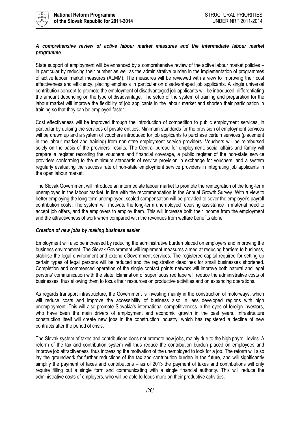

#### *A comprehensive review of active labour market measures and the intermediate labour market programme*

State support of employment will be enhanced by a comprehensive review of the active labour market policies – in particular by reducing their number as well as the administrative burden in the implementation of programmes of active labour market measures (ALMM). The measures will be reviewed with a view to improving their cost effectiveness and efficiency, placing emphasis in particular on disadvantaged job applicants. A single universal contribution concept to promote the employment of disadvantaged job applicants will be introduced, differentiating the amount depending on the type of disadvantage. The setup of the system of training and preparation for the labour market will improve the flexibility of job applicants in the labour market and shorten their participation in training so that they can be employed faster.

Cost effectiveness will be improved through the introduction of competition to public employment services, in particular by utilising the services of private entities. Minimum standards for the provision of employment services will be drawn up and a system of vouchers introduced for job applicants to purchase certain services (placement in the labour market and training) from non-state employment service providers. Vouchers will be reimbursed solely on the basis of the providers' results. The Central bureau for employment, social affairs and family will prepare a register recording the vouchers and financial coverage, a public register of the non-state service providers conforming to the minimum standards of service provision in exchange for vouchers, and a system regularly evaluating the success rate of non-state employment service providers in integrating job applicants in the open labour market.

The Slovak Government will introduce an intermediate labour market to promote the reintegration of the long-term unemployed in the labour market, in line with the recommendation in the Annual Growth Survey. With a view to better employing the long-term unemployed, scaled compensation will be provided to cover the employer's payroll contribution costs. The system will motivate the long-term unemployed receiving assistance in material need to accept job offers, and the employers to employ them. This will increase both their income from the employment and the attractiveness of work when compared with the revenues from welfare benefits alone.

#### *Creation of new jobs by making business easier*

Employment will also be increased by reducing the administrative burden placed on employers and improving the business environment. The Slovak Government will implement measures aimed at reducing barriers to business, stabilise the legal environment and extend eGovernment services. The registered capital required for setting up certain types of legal persons will be reduced and the registration deadlines for small businesses shortened. Completion and commenced operation of the single contact points network will improve both natural and legal persons' communication with the state. Elimination of superfluous red tape will reduce the administrative costs of businesses, thus allowing them to focus their resources on productive activities and on expanding operations.

As regards transport infrastructure, the Government is investing mainly in the construction of motorways, which will reduce costs and improve the accessibility of business also in less developed regions with high unemployment. This will also promote Slovakia's international competitiveness in the eyes of foreign investors, who have been the main drivers of employment and economic growth in the past years. Infrastructure construction itself will create new jobs in the construction industry, which has registered a decline of new contracts after the period of crisis.

The Slovak system of taxes and contributions does not promote new jobs, mainly due to the high payroll levies. A reform of the tax and contribution system will thus reduce the contribution burden placed on employees and improve job attractiveness, thus increasing the motivation of the unemployed to look for a job. The reform will also lay the groundwork for further reductions of the tax and contribution burden in the future, and will significantly simplify the payment of taxes and contributions – as of 2013 the payment of taxes and contributions will only require filling out a single form and communicating with a single financial authority. This will reduce the administrative costs of employers, who will be able to focus more on their productive activities.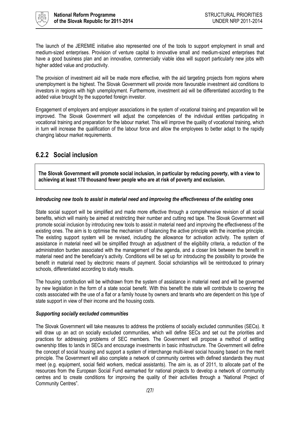

The launch of the JEREMIE initiative also represented one of the tools to support employment in small and medium-sized enterprises. Provision of venture capital to innovative small and medium-sized enterprises that have a good business plan and an innovative, commercially viable idea will support particularly new jobs with higher added value and productivity.

The provision of investment aid will be made more effective, with the aid targeting projects from regions where unemployment is the highest. The Slovak Government will provide more favourable investment aid conditions to investors in regions with high unemployment. Furthermore, investment aid will be differentiated according to the added value brought by the supported foreign investor.

Engagement of employers and employer associations in the system of vocational training and preparation will be improved. The Slovak Government will adjust the competencies of the individual entities participating in vocational training and preparation for the labour market. This will improve the quality of vocational training, which in turn will increase the qualification of the labour force and allow the employees to better adapt to the rapidly changing labour market requirements.

### <span id="page-26-0"></span>**6.2.2 Social inclusion**

**The Slovak Government will promote social inclusion, in particular by reducing poverty, with a view to achieving at least 170 thousand fewer people who are at risk of poverty and exclusion.**

#### *Introducing new tools to assist in material need and improving the effectiveness of the existing ones*

State social support will be simplified and made more effective through a comprehensive revision of all social benefits, which will mainly be aimed at restricting their number and cutting red tape. The Slovak Government will promote social inclusion by introducing new tools to assist in material need and improving the effectiveness of the existing ones. The aim is to optimise the mechanism of balancing the active principle with the incentive principle. The existing support system will be revised, including the allowance for activation activity. The system of assistance in material need will be simplified through an adjustment of the eligibility criteria, a reduction of the administration burden associated with the management of the agenda, and a closer link between the benefit in material need and the beneficiary's activity. Conditions will be set up for introducing the possibility to provide the benefit in material need by electronic means of payment. Social scholarships will be reintroduced to primary schools, differentiated according to study results.

The housing contribution will be withdrawn from the system of assistance in material need and will be governed by new legislation in the form of a state social benefit. With this benefit the state will contribute to covering the costs associated with the use of a flat or a family house by owners and tenants who are dependent on this type of state support in view of their income and the housing costs.

#### *Supporting socially excluded communities*

The Slovak Government will take measures to address the problems of socially excluded communities (SECs). It will draw up an act on socially excluded communities, which will define SECs and set out the priorities and practices for addressing problems of SEC members. The Government will propose a method of settling ownership titles to lands in SECs and encourage investments in basic infrastructure. The Government will define the concept of social housing and support a system of interchange multi-level social housing based on the merit principle. The Government will also complete a network of community centres with defined standards they must meet (e.g. equipment, social field workers, medical assistants). The aim is, as of 2011, to allocate part of the resources from the European Social Fund earmarked for national projects to develop a network of community centres and to create conditions for improving the quality of their activities through a "National Project of Community Centres".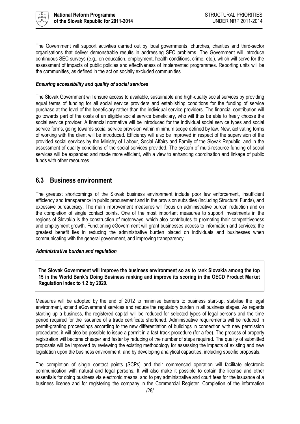

The Government will support activities carried out by local governments, churches, charities and third-sector organisations that deliver demonstrable results in addressing SEC problems. The Government will introduce continuous SEC surveys (e.g., on education, employment, health conditions, crime, etc.), which will serve for the assessment of impacts of public policies and effectiveness of implemented programmes. Reporting units will be the communities, as defined in the act on socially excluded communities.

#### *Ensuring accessibility and quality of social services*

The Slovak Government will ensure access to available, sustainable and high-quality social services by providing equal terms of funding for all social service providers and establishing conditions for the funding of service purchase at the level of the beneficiary rather than the individual service providers. The financial contribution will go towards part of the costs of an eligible social service beneficiary, who will thus be able to freely choose the social service provider. A financial normative will be introduced for the individual social service types and social service forms, going towards social service provision within minimum scope defined by law. New, activating forms of working with the client will be introduced. Efficiency will also be improved in respect of the supervision of the provided social services by the Ministry of Labour, Social Affairs and Family of the Slovak Republic, and in the assessment of quality conditions of the social services provided. The system of multi-resource funding of social services will be expanded and made more efficient, with a view to enhancing coordination and linkage of public funds with other resources.

### <span id="page-27-0"></span>**6.3 Business environment**

The greatest shortcomings of the Slovak business environment include poor law enforcement, insufficient efficiency and transparency in public procurement and in the provision subsidies (including Structural Funds), and excessive bureaucracy. The main improvement measures will focus on administrative burden reduction and on the completion of single contact points. One of the most important measures to support investments in the regions of Slovakia is the construction of motorways, which also contributes to promoting their competitiveness and employment growth. Functioning eGovernment will grant businesses access to information and services; the greatest benefit lies in reducing the administrative burden placed on individuals and businesses when communicating with the general government, and improving transparency.

#### *Administrative burden and regulation*

**The Slovak Government will improve the business environment so as to rank Slovakia among the top 15 in the World Bank's Doing Business ranking and improve its scoring in the OECD Product Market Regulation Index to 1.2 by 2020.**

Measures will be adopted by the end of 2012 to minimise barriers to business start-up, stabilise the legal environment, extend eGovernment services and reduce the regulatory burden in all business stages. As regards starting up a business, the registered capital will be reduced for selected types of legal persons and the time period required for the issuance of a trade certificate shortened. Administrative requirements will be reduced in permit-granting proceedings according to the new differentiation of buildings in connection with new permission procedures; it will also be possible to issue a permit in a fast-track procedure (for a fee). The process of property registration will become cheaper and faster by reducing of the number of steps required. The quality of submitted proposals will be improved by reviewing the existing methodology for assessing the impacts of existing and new legislation upon the business environment, and by developing analytical capacities, including specific proposals.

The completion of single contact points (SCPs) and their commenced operation will facilitate electronic communication with natural and legal persons. It will also make it possible to obtain the license and other essentials for doing business via electronic means, and to pay administrative and court fees for the issuance of a business license and for registering the company in the Commercial Register. Completion of the information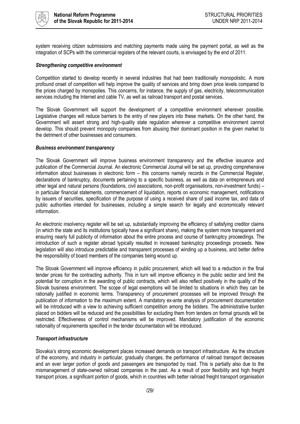

system receiving citizen submissions and matching payments made using the payment portal, as well as the integration of SCPs with the commercial registers of the relevant courts, is envisaged by the end of 2011.

#### *Strengthening competitive environment*

Competition started to develop recently in several industries that had been traditionally monopolistic. A more profound onset of competition will help improve the quality of services and bring down price levels compared to the prices charged by monopolies. This concerns, for instance, the supply of gas, electricity, telecommunication services including the Internet and cable TV, as well as railroad transport and postal services.

The Slovak Government will support the development of a competitive environment wherever possible. Legislative changes will reduce barriers to the entry of new players into these markets. On the other hand, the Government will assert strong and high-quality state regulation wherever a competitive environment cannot develop. This should prevent monopoly companies from abusing their dominant position in the given market to the detriment of other businesses and consumers.

#### *Business environment transparency*

The Slovak Government will improve business environment transparency and the effective issuance and publication of the Commercial Journal. An electronic Commercial Journal will be set up, providing comprehensive information about businesses in electronic form – this concerns namely records in the Commercial Register, declarations of bankruptcy, documents pertaining to a specific business, as well as data on entrepreneurs and other legal and natural persons (foundations, civil associations, non-profit organisations, non-investment funds) – in particular financial statements, commencement of liquidation, reports on economic management, notifications by issuers of securities, specification of the purpose of using a received share of paid income tax, and data of public authorities intended for businesses, including a simple search for legally and economically relevant information.

An electronic insolvency register will be set up, substantially improving the efficiency of satisfying creditor claims (in which the state and its institutions typically have a significant share), making the system more transparent and ensuring nearly full publicity of information about the entire process and course of bankruptcy proceedings. The introduction of such a register abroad typically resulted in increased bankruptcy proceedings proceeds. New legislation will also introduce predictable and transparent processes of winding up a business, and better define the responsibility of board members of the companies being wound up.

The Slovak Government will improve efficiency in public procurement, which will lead to a reduction in the final tender prices for the contracting authority. This in turn will improve efficiency in the public sector and limit the potential for corruption in the awarding of public contracts, which will also reflect positively in the quality of the Slovak business environment. The scope of legal exemptions will be limited to situations in which they can be rationally justified in economic terms. Transparency of procurement processes will be improved through the publication of information to the maximum extent. A mandatory ex-ante analysis of procurement documentation will be introduced with a view to achieving sufficient competition among the bidders. The administrative burden placed on bidders will be reduced and the possibilities for excluding them from tenders on formal grounds will be restricted. Effectiveness of control mechanisms will be improved. Mandatory justification of the economic rationality of requirements specified in the tender documentation will be introduced.

#### *Transport infrastructure*

Slovakia's strong economic development places increased demands on transport infrastructure. As the structure of the economy, and industry in particular, gradually changes, the performance of railroad transport decreases and an ever larger portion of goods and passengers are transported by road. This is partially also due to the mismanagement of state-owned railroad companies in the past. As a result of poor flexibility and high freight transport prices, a significant portion of goods, which in countries with better railroad freight transport organisation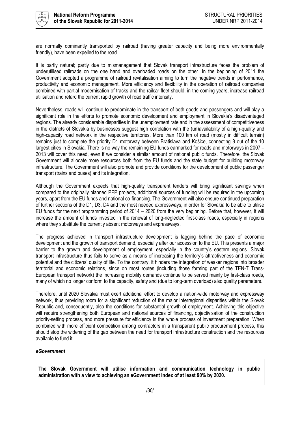

are normally dominantly transported by railroad (having greater capacity and being more environmentally friendly), have been expelled to the road.

It is partly natural; partly due to mismanagement that Slovak transport infrastructure faces the problem of underutilised railroads on the one hand and overloaded roads on the other. In the beginning of 2011 the Government adopted a programme of railroad revitalisation aiming to turn the negative trends in performance, productivity and economic management. More efficiency and flexibility in the operation of railroad companies combined with partial modernisation of tracks and the railcar fleet should, in the coming years, increase railroad utilisation and retard the current rapid growth of road traffic intensity.

Nevertheless, roads will continue to predominate in the transport of both goods and passengers and will play a significant role in the efforts to promote economic development and employment in Slovakia's disadvantaged regions. The already considerable disparities in the unemployment rate and in the assessment of competitiveness in the districts of Slovakia by businesses suggest high correlation with the (un)availability of a high-quality and high-capacity road network in the respective territories. More than 100 km of road (mostly in difficult terrain) remains just to complete the priority D1 motorway between Bratislava and Košice, connecting 8 out of the 10 largest cities in Slovakia. There is no way the remaining EU funds earmarked for roads and motorways in 2007 – 2013 will cover this need, even if we consider a similar amount of national public funds. Therefore, the Slovak Government will allocate more resources both from the EU funds and the state budget for building motorway infrastructure. The Government will also promote and provide conditions for the development of public passenger transport (trains and buses) and its integration.

Although the Government expects that high-quality transparent tenders will bring significant savings when compared to the originally planned PPP projects, additional sources of funding will be required in the upcoming years, apart from the EU funds and national co-financing. The Government will also ensure continued preparation of further sections of the D1, D3, D4 and the most needed expressways, in order for Slovakia to be able to utilise EU funds for the next programming period of 2014 – 2020 from the very beginning. Before that, however, it will increase the amount of funds invested in the renewal of long-neglected first-class roads, especially in regions where they substitute the currently absent motorways and expressways.

The progress achieved in transport infrastructure development is lagging behind the pace of economic development and the growth of transport demand, especially after our accession to the EU. This presents a major barrier to the growth and development of employment, especially in the country's eastern regions. Slovak transport infrastructure thus fails to serve as a means of increasing the territory's attractiveness and economic potential and the citizens' quality of life. To the contrary, it hinders the integration of weaker regions into broader territorial and economic relations, since on most routes (including those forming part of the TEN-T Trans-European transport network) the increasing mobility demands continue to be served mainly by first-class roads, many of which no longer conform to the capacity, safety and (due to long-term overload) also quality parameters.

Therefore, until 2020 Slovakia must exert additional effort to develop a nation-wide motorway and expressway network, thus providing room for a significant reduction of the major interregional disparities within the Slovak Republic and, consequently, also the conditions for substantial growth of employment. Achieving this objective will require strengthening both European and national sources of financing, objectivisation of the construction priority-setting process, and more pressure for efficiency in the whole process of investment preparation. When combined with more efficient competition among contractors in a transparent public procurement process, this should stop the widening of the gap between the need for transport infrastructure construction and the resources available to fund it.

#### *eGovernment*

**The Slovak Government will utilise information and communication technology in public administration with a view to achieving an eGovernment index of at least 90% by 2020.**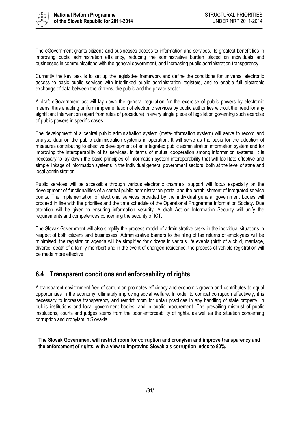

The eGovernment grants citizens and businesses access to information and services. Its greatest benefit lies in improving public administration efficiency, reducing the administrative burden placed on individuals and businesses in communications with the general government, and increasing public administration transparency.

Currently the key task is to set up the legislative framework and define the conditions for universal electronic access to basic public services with interlinked public administration registers, and to enable full electronic exchange of data between the citizens, the public and the private sector.

A draft eGovernment act will lay down the general regulation for the exercise of public powers by electronic means, thus enabling uniform implementation of electronic services by public authorities without the need for any significant intervention (apart from rules of procedure) in every single piece of legislation governing such exercise of public powers in specific cases.

The development of a central public administration system (meta-information system) will serve to record and analyse data on the public administration systems in operation. It will serve as the basis for the adoption of measures contributing to effective development of an integrated public administration information system and for improving the interoperability of its services. In terms of mutual cooperation among information systems, it is necessary to lay down the basic principles of information system interoperability that will facilitate effective and simple linkage of information systems in the individual general government sectors, both at the level of state and local administration.

Public services will be accessible through various electronic channels; support will focus especially on the development of functionalities of a central public administration portal and the establishment of integrated service points. The implementation of electronic services provided by the individual general government bodies will proceed in line with the priorities and the time schedule of the Operational Programme Information Society. Due attention will be given to ensuring information security. A draft Act on Information Security will unify the requirements and competences concerning the security of ICT.

The Slovak Government will also simplify the process model of administrative tasks in the individual situations in respect of both citizens and businesses. Administrative barriers to the filing of tax returns of employees will be minimised, the registration agenda will be simplified for citizens in various life events (birth of a child, marriage, divorce, death of a family member) and in the event of changed residence, the process of vehicle registration will be made more effective.

### <span id="page-30-0"></span>**6.4 Transparent conditions and enforceability of rights**

A transparent environment free of corruption promotes efficiency and economic growth and contributes to equal opportunities in the economy, ultimately improving social welfare. In order to combat corruption effectively, it is necessary to increase transparency and restrict room for unfair practices in any handling of state property, in public institutions and local government bodies, and in public procurement. The prevailing mistrust of public institutions, courts and judges stems from the poor enforceability of rights, as well as the situation concerning corruption and cronyism in Slovakia.

**The Slovak Government will restrict room for corruption and cronyism and improve transparency and the enforcement of rights, with a view to improving Slovakia's corruption index to 80%.**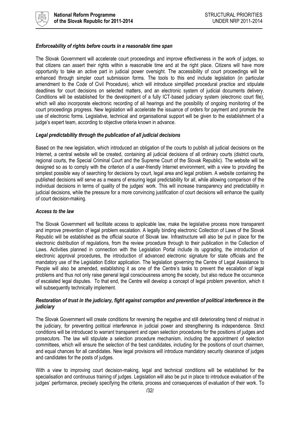

#### *Enforceability of rights before courts in a reasonable time span*

The Slovak Government will accelerate court proceedings and improve effectiveness in the work of judges, so that citizens can assert their rights within a reasonable time and at the right place. Citizens will have more opportunity to take an active part in judicial power oversight. The accessibility of court proceedings will be enhanced through simpler court submission forms. The tools to this end include legislation (in particular amendment to the Code of Civil Procedure), which will introduce simplified procedural practice and stipulate deadlines for court decisions on selected matters, and an electronic system of judicial documents delivery. Conditions will be established for the development of a fully ICT-based judiciary system (electronic court file), which will also incorporate electronic recording of all hearings and the possibility of ongoing monitoring of the court proceedings progress. New legislation will accelerate the issuance of orders for payment and promote the use of electronic forms. Legislative, technical and organisational support will be given to the establishment of a judge's expert team, according to objective criteria known in advance.

#### *Legal predictability through the publication of all judicial decisions*

Based on the new legislation, which introduced an obligation of the courts to publish all judicial decisions on the Internet, a central website will be created, containing all judicial decisions of all ordinary courts (district courts, regional courts, the Special Criminal Court and the Supreme Court of the Slovak Republic). The website will be designed so as to comply with the criterion of a user-friendly Internet environment, with a view to providing the simplest possible way of searching for decisions by court, legal area and legal problem. A website containing the published decisions will serve as a means of ensuring legal predictability for all, while allowing comparison of the individual decisions in terms of quality of the judges' work. This will increase transparency and predictability in judicial decisions, while the pressure for a more convincing justification of court decisions will enhance the quality of court decision-making.

#### *Access to the law*

The Slovak Government will facilitate access to applicable law, make the legislative process more transparent and improve prevention of legal problem escalation. A legally binding electronic Collection of Laws of the Slovak Republic will be established as the official source of Slovak law. Infrastructure will also be put in place for the electronic distribution of regulations, from the review procedure through to their publication in the Collection of Laws. Activities planned in connection with the Legislation Portal include its upgrading, the introduction of electronic approval procedures, the introduction of advanced electronic signature for state officials and the mandatory use of the Legislation Editor application. The legislation governing the Centre of Legal Assistance to People will also be amended, establishing it as one of the Centre's tasks to prevent the escalation of legal problems and thus not only raise general legal consciousness among the society, but also reduce the occurrence of escalated legal disputes. To that end, the Centre will develop a concept of legal problem prevention, which it will subsequently technically implement.

#### *Restoration of trust in the judiciary, fight against corruption and prevention of political interference in the judiciary*

The Slovak Government will create conditions for reversing the negative and still deteriorating trend of mistrust in the judiciary, for preventing political interference in judicial power and strengthening its independence. Strict conditions will be introduced to warrant transparent and open selection procedures for the positions of judges and prosecutors. The law will stipulate a selection procedure mechanism, including the appointment of selection committees, which will ensure the selection of the best candidates, including for the positions of court chairmen, and equal chances for all candidates. New legal provisions will introduce mandatory security clearance of judges and candidates for the posts of judges.

With a view to improving court decision-making, legal and technical conditions will be established for the specialisation and continuous training of judges. Legislation will also be put in place to introduce evaluation of the judges' performance, precisely specifying the criteria, process and consequences of evaluation of their work. To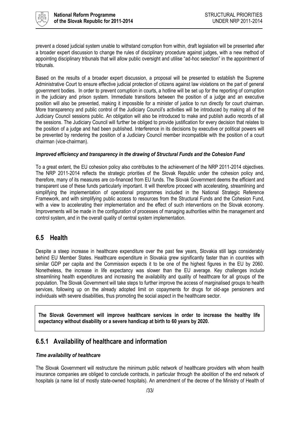

prevent a closed judicial system unable to withstand corruption from within, draft legislation will be presented after a broader expert discussion to change the rules of disciplinary procedure against judges, with a new method of appointing disciplinary tribunals that will allow public oversight and utilise "ad-hoc selection" in the appointment of tribunals.

Based on the results of a broader expert discussion, a proposal will be presented to establish the Supreme Administrative Court to ensure effective judicial protection of citizens against law violations on the part of general government bodies. In order to prevent corruption in courts, a hotline will be set up for the reporting of corruption in the judiciary and prison system. Immediate transitions between the position of a judge and an executive position will also be prevented, making it impossible for a minister of justice to run directly for court chairman. More transparency and public control of the Judiciary Council's activities will be introduced by making all of the Judiciary Council sessions public. An obligation will also be introduced to make and publish audio records of all the sessions. The Judiciary Council will further be obliged to provide justification for every decision that relates to the position of a judge and had been published. Interference in its decisions by executive or political powers will be prevented by rendering the position of a Judiciary Council member incompatible with the position of a court chairman (vice-chairman).

#### *Improved efficiency and transparency in the drawing of Structural Funds and the Cohesion Fund*

To a great extent, the EU cohesion policy also contributes to the achievement of the NRP 2011-2014 objectives. The NRP 2011-2014 reflects the strategic priorities of the Slovak Republic under the cohesion policy and, therefore, many of its measures are co-financed from EU funds. The Slovak Government deems the efficient and transparent use of these funds particularly important. It will therefore proceed with accelerating, streamlining and simplifying the implementation of operational programmes included in the National Strategic Reference Framework, and with simplifying public access to resources from the Structural Funds and the Cohesion Fund, with a view to accelerating their implementation and the effect of such interventions on the Slovak economy. Improvements will be made in the configuration of processes of managing authorities within the management and control system, and in the overall quality of central system implementation.

### <span id="page-32-0"></span>**6.5 Health**

Despite a steep increase in healthcare expenditure over the past few years, Slovakia still lags considerably behind EU Member States. Healthcare expenditure in Slovakia grew significantly faster than in countries with similar GDP per capita and the Commission expects it to be one of the highest figures in the EU by 2060. Nonetheless, the increase in life expectancy was slower than the EU average. Key challenges include streamlining health expenditures and increasing the availability and quality of healthcare for all groups of the population. The Slovak Government will take steps to further improve the access of marginalised groups to health services, following up on the already adopted limit on copayments for drugs for old-age pensioners and individuals with severe disabilities, thus promoting the social aspect in the healthcare sector.

**The Slovak Government will improve healthcare services in order to increase the healthy life expectancy without disability or a severe handicap at birth to 60 years by 2020.**

### <span id="page-32-1"></span>**6.5.1 Availability of healthcare and information**

#### *Time availability of healthcare*

The Slovak Government will restructure the minimum public network of healthcare providers with whom health insurance companies are obliged to conclude contracts, in particular through the abolition of the end network of hospitals (a name list of mostly state-owned hospitals). An amendment of the decree of the Ministry of Health of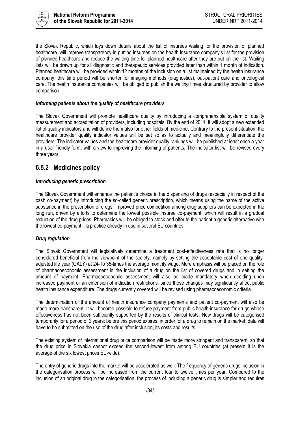

the Slovak Republic, which lays down details about the list of insurees waiting for the provision of planned healthcare, will improve transparency in putting insurees on the health insurance company's list for the provision of planned healthcare and reduce the waiting time for planned healthcare after they are put on the list. Waiting lists will be drawn up for all diagnostic and therapeutic services provided later than within 1 month of indication. Planned healthcare will be provided within 12 months of the inclusion on a list maintained by the health insurance company; this time period will be shorter for imaging methods (diagnostics), out-patient care and oncological care. The health insurance companies will be obliged to publish the waiting times structured by provider to allow comparison.

#### *Informing patients about the quality of healthcare providers*

The Slovak Government will promote healthcare quality by introducing a comprehensible system of quality measurement and accreditation of providers, including hospitals. By the end of 2011, it will adopt a new extended list of quality indicators and will define them also for other fields of medicine. Contrary to the present situation, the healthcare provider quality indicator values will be set so as to actually and meaningfully differentiate the providers. The indicator values and the healthcare provider quality rankings will be published at least once a year in a user-friendly form, with a view to improving the informing of patients. The indicator list will be revised every three years.

### <span id="page-33-0"></span>**6.5.2 Medicines policy**

#### *Introducing generic prescription*

The Slovak Government will enhance the patient's choice in the dispensing of drugs (especially in respect of the cash co-payment) by introducing the so-called generic prescription, which means using the name of the active substance in the prescription of drugs. Improved price competition among drug suppliers can be expected in the long run, driven by efforts to determine the lowest possible insuree co-payment, which will result in a gradual reduction of the drug prices. Pharmacies will be obliged to stock and offer to the patient a generic alternative with the lowest co-payment – a practice already in use in several EU countries.

#### *Drug regulation*

The Slovak Government will legislatively determine a treatment cost-effectiveness rate that is no longer considered beneficial from the viewpoint of the society, namely by setting the acceptable cost of one qualityadjusted life year (QALY) at 24- to 35-times the average monthly wage. More emphasis will be placed on the role of pharmacoeconomic assessment in the inclusion of a drug on the list of covered drugs and in setting the amount of payment. Pharmacoeconomic assessment will also be made mandatory when deciding upon increased payment or an extension of indication restrictions, since these changes may significantly affect public health insurance expenditure. The drugs currently covered will be revised using pharmacoeconomic criteria.

The determination of the amount of health insurance company payments and patient co-payment will also be made more transparent. It will become possible to refuse payment from public health insurance for drugs whose effectiveness has not been sufficiently supported by the results of clinical tests. New drugs will be categorised temporarily for a period of 2 years; before this period expires, in order for a drug to remain on the market, data will have to be submitted on the use of the drug after inclusion, its costs and results.

The existing system of international drug price comparison will be made more stringent and transparent, so that the drug price in Slovakia cannot exceed the second-lowest from among EU countries (at present it is the average of the six lowest prices EU-wide).

The entry of generic drugs into the market will be accelerated as well. The frequency of generic drugs inclusion in the categorisation process will be increased from the current four to twelve times per year. Compared to the inclusion of an original drug in the categorisation, the process of including a generic drug is simpler and requires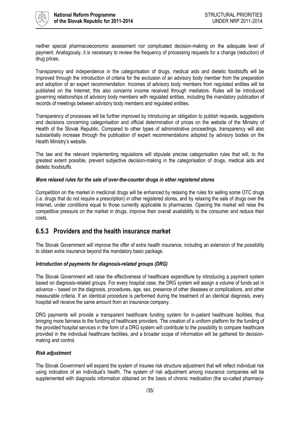

neither special pharmacoeconomic assessment nor complicated decision-making on the adequate level of payment. Analogously, it is necessary to review the frequency of processing requests for a change (reduction) of drug prices.

Transparency and independence in the categorisation of drugs, medical aids and dietetic foodstuffs will be improved through the introduction of criteria for the exclusion of an advisory body member from the preparation and adoption of an expert recommendation. Incomes of advisory body members from regulated entities will be published on the Internet; this also concerns income received through mediators. Rules will be introduced governing relationships of advisory body members with regulated entities, including the mandatory publication of records of meetings between advisory body members and regulated entities.

Transparency of processes will be further improved by introducing an obligation to publish requests, suggestions and decisions concerning categorisation and official determination of prices on the website of the Ministry of Health of the Slovak Republic. Compared to other types of administrative proceedings, transparency will also substantially increase through the publication of expert recommendations adopted by advisory bodies on the Health Ministry's website.

The law and the relevant implementing regulations will stipulate precise categorisation rules that will, to the greatest extent possible, prevent subjective decision-making in the categorisation of drugs, medical aids and dietetic foodstuffs.

#### *More relaxed rules for the sale of over-the-counter drugs in other registered stores*

Competition on the market in medicinal drugs will be enhanced by relaxing the rules for selling some OTC drugs (i.e. drugs that do not require a prescription) in other registered stores, and by relaxing the sale of drugs over the Internet, under conditions equal to those currently applicable to pharmacies. Opening the market will raise the competitive pressure on the market in drugs, improve their overall availability to the consumer and reduce their costs.

### <span id="page-34-0"></span>**6.5.3 Providers and the health insurance market**

The Slovak Government will improve the offer of extra health insurance, including an extension of the possibility to obtain extra insurance beyond the mandatory basic package.

#### *Introduction of payments for diagnosis-related groups (DRG)*

The Slovak Government will raise the effectiveness of healthcare expenditure by introducing a payment system based on diagnosis-related groups. For every hospital case, the DRG system will assign a volume of funds set in advance – based on the diagnosis, procedures, age, sex, presence of other diseases or complications, and other measurable criteria. If an identical procedure is performed during the treatment of an identical diagnosis, every hospital will receive the same amount from an insurance company.

DRG payments will provide a transparent healthcare funding system for in-patient healthcare facilities, thus bringing more fairness to the funding of healthcare providers. The creation of a uniform platform for the funding of the provided hospital services in the form of a DRG system will contribute to the possibility to compare healthcare provided in the individual healthcare facilities, and a broader scope of information will be gathered for decisionmaking and control.

#### *Risk adjustment*

The Slovak Government will expand the system of insuree risk structure adjustment that will reflect individual risk using indicators of an individual's health. The system of risk adjustment among insurance companies will be supplemented with diagnostic information obtained on the basis of chronic medication (the so-called pharmacy-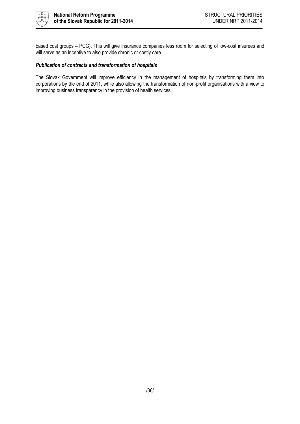

based cost groups – PCG). This will give insurance companies less room for selecting of low-cost insurees and will serve as an incentive to also provide chronic or costly care.

#### *Publication of contracts and transformation of hospitals*

The Slovak Government will improve efficiency in the management of hospitals by transforming them into corporations by the end of 2011, while also allowing the transformation of non-profit organisations with a view to improving business transparency in the provision of health services.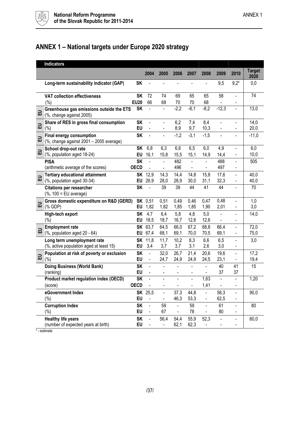

## <span id="page-36-0"></span>**ANNEX 1 – National targets under Europe 2020 strategy**

|   | <b>Indicators</b>                                                          |                          |                                            |                        |                                            |                                            |                                  |                                                      |                                                          |                       |
|---|----------------------------------------------------------------------------|--------------------------|--------------------------------------------|------------------------|--------------------------------------------|--------------------------------------------|----------------------------------|------------------------------------------------------|----------------------------------------------------------|-----------------------|
|   |                                                                            |                          | 2004                                       | 2005                   | 2006                                       | 2007                                       | 2008                             | 2009                                                 | 2010                                                     | <b>Target</b><br>2020 |
|   | Long-term sustainability indicator (GAP)                                   | <b>SK</b>                |                                            |                        |                                            |                                            |                                  | 9,5                                                  | $9,2*$                                                   | 0,0                   |
|   | <b>VAT collection effectiveness</b><br>$(\% )$                             | <b>SK</b><br><b>EU20</b> | 72<br>66                                   | 74<br>68               | 69<br>70                                   | 65<br>70                                   | 65<br>68                         | 58                                                   |                                                          | 74                    |
| 品 | Greenhouse gas emissions outside the ETS<br>(%, change against 2005)       | <b>SK</b>                | $\blacksquare$                             |                        | $-2,2$                                     | $-6,1$                                     | $-8,2$                           | $-12,3$                                              |                                                          | 13,0                  |
| 品 | Share of RES in gross final consumption<br>(%)                             | <b>SK</b><br>EU          | $\blacksquare$<br>$\frac{1}{2}$            | ÷,                     | 6,2<br>8,9                                 | 7,4<br>9,7                                 | 8,4<br>10,3                      | $\overline{\phantom{a}}$<br>$\overline{\phantom{a}}$ | L,<br>$\blacksquare$                                     | 14,0<br>20,0          |
| 品 | <b>Final energy consumption</b><br>(%, change against 2001 - 2005 average) | <b>SK</b>                | ä,                                         |                        | $-1,2$                                     | $-3,1$                                     | $-1,5$                           |                                                      |                                                          | $-11,0$               |
| 品 | School drop-out rate<br>(%, population aged 18-24)                         | <b>SK</b><br>EU          | 6,8<br>16,1                                | 6,3<br>15,8            | 6,6<br>15,5                                | 6,5<br>15,1                                | 6,0<br>14,9                      | 4,9<br>14,4                                          | $\overline{\phantom{a}}$<br>$\qquad \qquad \blacksquare$ | 6,0<br>10,0           |
|   | <b>PISA</b><br>(arithmetic average of the scores)                          | <b>SK</b><br><b>OECD</b> | $\frac{1}{2}$                              | L.<br>÷,               | 482<br>496                                 | L.<br>$\overline{\phantom{0}}$             | ÷,<br>$\frac{1}{2}$              | 488<br>497                                           | ä,<br>ä,                                                 | 505                   |
| 긊 | <b>Tertiary educational attainment</b><br>(%, population aged 30-34)       | <b>SK</b><br>EU          | 12,9<br>26,9                               | 14,3<br>28,0           | 14,4<br>28,9                               | 14,8<br>30,0                               | 15,8<br>31,1                     | 17,6<br>32,3                                         | ä,<br>L,                                                 | 40,0<br>40,0          |
|   | <b>Citations per researcher</b><br>(%, 100 = EU average)                   | <b>SK</b>                |                                            | 39                     | 39                                         | 44                                         | 41                               | 44                                                   | $\blacksquare$                                           | 70                    |
| 교 | Gross domestic expenditure on R&D (GERD)<br>(% GDP)                        | <b>SK</b><br>EU          | 0,51<br>1,82                               | 0,51<br>1,82           | 0,49<br>1,85                               | 0,46<br>1,85                               | 0,47<br>1,90                     | 0,48<br>2,01                                         | ä,<br>$\blacksquare$                                     | 1,0<br>3,0            |
|   | High-tech export<br>$(\% )$                                                | <b>SK</b><br>EU          | 4,7<br>18,5                                | 6,4<br>18,7            | 5,8<br>16,7                                | 4,8<br>12,6                                | 5,0<br>12,6                      | $\overline{a}$                                       | $\overline{a}$<br>$\blacksquare$                         | 14,0                  |
| 品 | <b>Employment rate</b><br>(%, population aged 20 - 64)                     | <b>SK</b><br>EU          | 63,7<br>67,4                               | 64,5<br>68,1           | 66,0<br>69,1                               | 67,2<br>70,0                               | 68,8<br>70,5                     | 66,4<br>69,1                                         | $\frac{1}{2}$<br>$\qquad \qquad \blacksquare$            | 72,0<br>75,0          |
|   | Long term unemployment rate<br>(%, active population aged at least 15)     | <b>SK</b><br>EU          | 11,8<br>3,4                                | 11,7<br>3,7            | 10,2<br>3,7                                | 8,3<br>3,1                                 | 6,6<br>2,6                       | 6,5<br>3,0                                           | ä,<br>$\frac{1}{2}$                                      | 3,0                   |
| 교 | Population at risk of poverty or exclusion<br>(%)                          | <b>SK</b><br><b>EU</b>   | $\blacksquare$<br>$\blacksquare$           | 32,0<br>24,7           | 26,7<br>24,9                               | 21,4<br>24,9                               | 20,6<br>24,5                     | 19,6<br>23,1                                         | ä,<br>$\overline{a}$                                     | 17,2<br>19,4          |
|   | <b>Doing Business (World Bank)</b><br>(ranking)                            | <b>SK</b><br>EU          | $\blacksquare$<br>$\overline{\phantom{a}}$ | $\blacksquare$         | $\blacksquare$<br>$\blacksquare$           | $\blacksquare$<br>$\overline{\phantom{0}}$ | $\blacksquare$<br>$\blacksquare$ | 40<br>37                                             | 41<br>37                                                 | 15                    |
|   | Product market regulation index (OECD)<br>(score)                          | <b>SK</b><br><b>OECD</b> | $\blacksquare$                             | $\blacksquare$         | $\blacksquare$                             | ÷,                                         | 1,63<br>1,41                     | $\overline{a}$                                       | $\blacksquare$                                           | 1,20                  |
|   | eGovernment Index<br>$(\%)$                                                | EU                       | <b>SK</b> 25,5<br>$\blacksquare$           |                        | 37,3<br>46,3                               | 44,8<br>53,3                               | $\overline{\phantom{0}}$         | 58,3<br>62,5                                         | $\blacksquare$                                           | 90,0                  |
|   | <b>Corruption Index</b><br>$(\% )$                                         | <b>SK</b><br>EU          | $\blacksquare$<br>$\blacksquare$           | 59<br>67               | $\overline{\phantom{a}}$<br>$\blacksquare$ | 59<br>78                                   | $\blacksquare$                   | 61<br>80                                             | $\qquad \qquad \blacksquare$<br>$\blacksquare$           | 80                    |
|   | <b>Healthy life years</b><br>(number of expected years at birth)           | <b>SK</b><br>EU          | $\blacksquare$                             | 56,4<br>$\blacksquare$ | 54,4<br>62,1                               | 55,9<br>62,3                               | 52,3                             | $\blacksquare$                                       | $\blacksquare$                                           | 60,0                  |

\* - estimate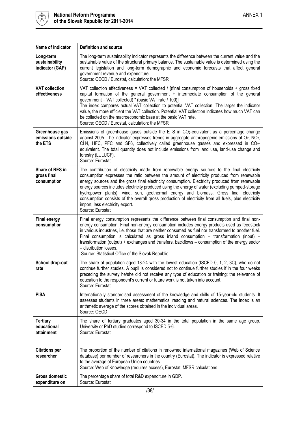

| Name of indicator                              | <b>Definition and source</b>                                                                                                                                                                                                                                                                                                                                                                                                                                                                                                                                                                                                                             |
|------------------------------------------------|----------------------------------------------------------------------------------------------------------------------------------------------------------------------------------------------------------------------------------------------------------------------------------------------------------------------------------------------------------------------------------------------------------------------------------------------------------------------------------------------------------------------------------------------------------------------------------------------------------------------------------------------------------|
| Long-term<br>sustainability<br>indicator (GAP) | The long-term sustainability indicator represents the difference between the current value and the<br>sustainable value of the structural primary balance. The sustainable value is determined using the<br>current legislation and long-term demographic and economic forecasts that affect general<br>government revenue and expenditure.<br>Source: OECD / Eurostat, calculation: the MFSR                                                                                                                                                                                                                                                            |
| <b>VAT collection</b><br>effectiveness         | VAT collection effectiveness = VAT collected / [(final consumption of households + gross fixed<br>capital formation of the general government + intermediate consumption of the general<br>government - VAT collected) * (basic VAT rate / 100)]<br>The index compares actual VAT collection to potential VAT collection. The larger the indicator<br>value, the more efficient the VAT collection. Potential VAT collection indicates how much VAT can<br>be collected on the macroeconomic base at the basic VAT rate.<br>Source: OECD / Eurostat, calculation: the MFSR                                                                               |
| Greenhouse gas<br>emissions outside<br>the ETS | Emissions of greenhouse gases outside the ETS in CO2-equivalent as a percentage change<br>against 2005. The indicator expresses trends in aggregate anthropogenic emissions of $O_2$ , NO <sub>2</sub> ,<br>CH4, HFC, PFC and SF6, collectively called greenhouse gasses and expressed in CO2-<br>equivalent. The total quantity does not include emissions from land use, land-use change and<br>forestry (LULUCF).<br>Source: Eurostat                                                                                                                                                                                                                 |
| Share of RES in<br>gross final<br>consumption  | The contribution of electricity made from renewable energy sources to the final electricity<br>consumption expresses the ratio between the amount of electricity produced from renewable<br>energy sources and the gross final electricity consumption. Electricity produced from renewable<br>energy sources includes electricity produced using the energy of water (excluding pumped-storage<br>hydropower plants), wind, sun, geothermal energy and biomass. Gross final electricity<br>consumption consists of the overall gross production of electricity from all fuels, plus electricity<br>import, less electricity export.<br>Source: Eurostat |
| <b>Final energy</b><br>consumption             | Final energy consumption represents the difference between final consumption and final non-<br>energy consumption. Final non-energy consumption includes energy products used as feedstock<br>in various industries, i.e. those that are neither consumed as fuel nor transformed to another fuel.<br>Final consumption is calculated as gross inland consumption $-$ transformation (input) +<br>transformation (output) + exchanges and transfers, backflows - consumption of the energy sector<br>- distribution losses.<br>Source: Statistical Office of the Slovak Republic                                                                         |
| School drop-out<br>rate                        | The share of population aged 18-24 with the lowest education (ISCED 0, 1, 2, 3C), who do not<br>continue further studies. A pupil is considered not to continue further studies if in the four weeks<br>preceding the survey he/she did not receive any type of education or training; the relevance of<br>education to the respondent's current or future work is not taken into account.<br>Source: Eurostat                                                                                                                                                                                                                                           |
| <b>PISA</b>                                    | Internationally standardised assessment of the knowledge and skills of 15-year-old students. It<br>assesses students in three areas: mathematics, reading and natural sciences. The index is an<br>arithmetic average of the scores obtained in the individual areas.<br>Source: OECD                                                                                                                                                                                                                                                                                                                                                                    |
| <b>Tertiary</b><br>educational<br>attainment   | The share of tertiary graduates aged 30-34 in the total population in the same age group.<br>University or PhD studies correspond to ISCED 5-6.<br>Source: Eurostat                                                                                                                                                                                                                                                                                                                                                                                                                                                                                      |
| <b>Citations per</b><br>researcher             | The proportion of the number of citations in renowned international magazines (Web of Science<br>database) per number of researchers in the country (Eurostat). The indicator is expressed relative<br>to the average of European Union countries.<br>Source: Web of Knowledge (requires access), Eurostat, MFSR calculations                                                                                                                                                                                                                                                                                                                            |
| <b>Gross domestic</b><br>expenditure on        | The percentage share of total R&D expenditure in GDP.<br>Source: Eurostat                                                                                                                                                                                                                                                                                                                                                                                                                                                                                                                                                                                |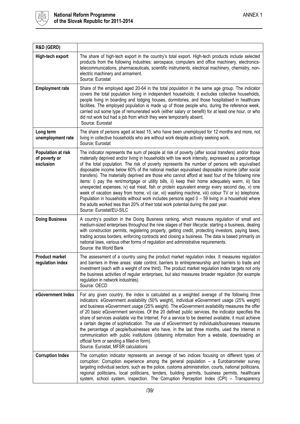

| R&D (GERD)                                              |                                                                                                                                                                                                                                                                                                                                                                                                                                                                                                                                                                                                                                                                                                                                                                                                                                                                                                                                                                                                                                                       |
|---------------------------------------------------------|-------------------------------------------------------------------------------------------------------------------------------------------------------------------------------------------------------------------------------------------------------------------------------------------------------------------------------------------------------------------------------------------------------------------------------------------------------------------------------------------------------------------------------------------------------------------------------------------------------------------------------------------------------------------------------------------------------------------------------------------------------------------------------------------------------------------------------------------------------------------------------------------------------------------------------------------------------------------------------------------------------------------------------------------------------|
| High-tech export                                        | The share of high-tech export in the country's total export. High-tech products include selected<br>products from the following industries: aerospace, computers and office machinery, electronics-<br>telecommunications, pharmaceuticals, scientific instruments, electrical machinery, chemistry, non-<br>electric machinery and armament.<br>Source: Eurostat                                                                                                                                                                                                                                                                                                                                                                                                                                                                                                                                                                                                                                                                                     |
| <b>Employment rate</b>                                  | Share of the employed aged 20-64 in the total population in the same age group. The indicator<br>covers the total population living in independent households; it excludes collective households,<br>people living in boarding and lodging houses, dormitories, and those hospitalised in healthcare<br>facilities. The employed population is made up of those people who, during the reference week,<br>carried out some type of remunerated work (either salary or benefit) for at least one hour, or who<br>did not work but had a job from which they were temporarily absent.<br>Source: Eurostat                                                                                                                                                                                                                                                                                                                                                                                                                                               |
| Long term<br>unemployment rate                          | The share of persons aged at least 15, who have been unemployed for 12 months and more, not<br>living in collective households who are without work despite actively seeking work.<br>Source: Eurostat                                                                                                                                                                                                                                                                                                                                                                                                                                                                                                                                                                                                                                                                                                                                                                                                                                                |
| <b>Population at risk</b><br>of poverty or<br>exclusion | The indicator represents the sum of people at risk of poverty (after social transfers) and/or those<br>materially deprived and/or living in households with low work intensity, expressed as a percentage<br>of the total population. The risk of poverty represents the number of persons with equivalised<br>disposable income below 60% of the national median equivalised disposable income (after social<br>transfers). The materially deprived are those who cannot afford at least four of the following nine<br>items: i) pay the rent/mortgage or utility bills, ii) keep their home adequately warm, iii) face<br>unexpected expenses, iv) eat meat, fish or protein equivalent energy every second day, v) one<br>week of vacation away from home, vi) car, vii) washing machine, viii) colour TV or ix) telephone.<br>Population in households without work includes persons aged $0 - 59$ living in a household where<br>the adults worked less than 20% of their total work potential during the past year.<br>Source: Eurostat/EU-SILC |
| <b>Doing Business</b>                                   | A country's position in the Doing Business ranking, which measures regulation of small and<br>medium-sized enterprises throughout the nine stages of their lifecycle: starting a business, dealing<br>with construction permits, registering property, getting credit, protecting investors, paying taxes,<br>trading across borders, enforcing contracts and closing a business. The data is based primarily on<br>national laws, various other forms of regulation and administrative requirements.<br>Source: the World Bank                                                                                                                                                                                                                                                                                                                                                                                                                                                                                                                       |
| <b>Product market</b><br>regulation index               | The assessment of a country using the product market regulation index. It measures regulation<br>and barriers in three areas: state control, barriers to entrepreneurship and barriers to trade and<br>investment (each with a weight of one third). The product market regulation index targets not only<br>the business activities of regular enterprises, but also measures broader regulation (for example<br>regulation in network industries).<br>Source: OECD                                                                                                                                                                                                                                                                                                                                                                                                                                                                                                                                                                                  |
| eGovernment Index                                       | For any given country, the index is calculated as a weighted average of the following three<br>indicators: eGovernment availability (50% weight), individual eGovernment usage (25% weight)<br>and business eGovernment usage (25% weight). The eGovernment availability measures the offer<br>of 20 basic eGovernment services. Of the 20 defined public services, the indicator specifies the<br>share of services available via the Internet. For a service to be deemed available, it must achieve<br>a certain degree of sophistication. The use of eGovernment by individuals/businesses measures<br>the percentage of people/businesses who have, in the last three months, used the Internet in<br>communication with public institutions (obtaining information from a website, downloading an<br>official form or sending a filled-in form).<br>Source: Eurostat, MFSR calculations                                                                                                                                                         |
| <b>Corruption Index</b>                                 | The corruption indicator represents an average of two indices focusing on different types of<br>corruption: Corruption experience among the general population - a Eurobarometer survey<br>targeting individual sectors, such as the police, customs administration, courts, national politicians,<br>regional politicians, local politicians, tenders, building permits, business permits, healthcare<br>system, school system, inspection. The Corruption Perception Index (CPI) - Transparency                                                                                                                                                                                                                                                                                                                                                                                                                                                                                                                                                     |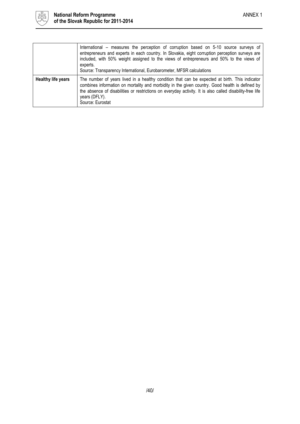

|                           | International – measures the perception of corruption based on 5-10 source surveys of<br>entrepreneurs and experts in each country. In Slovakia, eight corruption perception surveys are<br>included, with 50% weight assigned to the views of entrepreneurs and 50% to the views of<br>experts.<br>Source: Transparency International, Eurobarometer, MFSR calculations |
|---------------------------|--------------------------------------------------------------------------------------------------------------------------------------------------------------------------------------------------------------------------------------------------------------------------------------------------------------------------------------------------------------------------|
| <b>Healthy life years</b> | The number of years lived in a healthy condition that can be expected at birth. This indicator<br>combines information on mortality and morbidity in the given country. Good health is defined by<br>the absence of disabilities or restrictions on everyday activity. It is also called disability-free life<br>years (DFLY).<br>Source: Eurostat                       |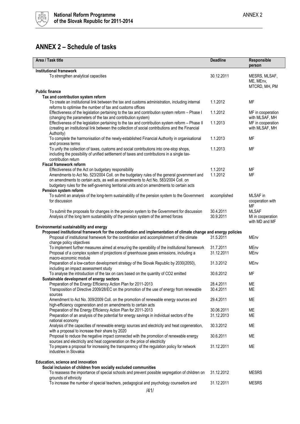

### <span id="page-40-0"></span>**ANNEX 2 – Schedule of tasks**

| Area / Task title                                                                                                                                                                                                                      | <b>Deadline</b>        | Responsible<br>person                               |
|----------------------------------------------------------------------------------------------------------------------------------------------------------------------------------------------------------------------------------------|------------------------|-----------------------------------------------------|
| <b>Institutional framework</b><br>To strengthen analytical capacities                                                                                                                                                                  | 30.12.2011             | MESRS, MLSAF,<br>ME, MEnv,<br>MTCRD, MH, PM         |
| <b>Public finance</b>                                                                                                                                                                                                                  |                        |                                                     |
| Tax and contribution system reform                                                                                                                                                                                                     |                        |                                                     |
| To create an institutional link between the tax and customs administration, including internal<br>reforms to optimise the number of tax and customs offices                                                                            | 1.1.2012               | MF                                                  |
| Effectiveness of the legislation pertaining to the tax and contribution system reform - Phase I<br>(changing the parameters of the tax and contribution system)                                                                        | 1.1.2012               | MF in cooperation<br>with MLSAF, MH                 |
| Effectiveness of the legislation pertaining to the tax and contribution system reform - Phase II<br>(creating an institutional link between the collection of social contributions and the Financial                                   | 1.1.2013               | MF in cooperation<br>with MLSAF, MH                 |
| Authority)<br>To complete the harmonisation of the newly-established Financial Authority in organisational<br>and process terms                                                                                                        | 1.1.2013               | <b>MF</b>                                           |
| To unify the collection of taxes, customs and social contributions into one-stop shops,<br>including the possibility of unified settlement of taxes and contributions in a single tax-<br>contribution return                          | 1.1.2013               | MF                                                  |
| <b>Fiscal framework reform</b>                                                                                                                                                                                                         |                        |                                                     |
| Effectiveness of the Act on budgetary responsibility<br>Amendments to Act No. 523/2004 Coll. on the budgetary rules of the general government and<br>on amendments to certain acts, as well as amendments to Act No. 583/2004 Coll. on | 1.1.2012<br>1.1.2012   | МF<br>МF                                            |
| budgetary rules for the self-governing territorial units and on amendments to certain acts                                                                                                                                             |                        |                                                     |
| Pension system reform                                                                                                                                                                                                                  |                        |                                                     |
| To submit an analysis of the long-term sustainability of the pension system to the Government<br>for discussion                                                                                                                        | accomplished           | MLSAF in<br>cooperation with<br><b>MF</b>           |
| To submit the proposals for changes in the pension system to the Government for discussion<br>Analysis of the long term sustainability of the pension system of the armed forces                                                       | 30.4.2011<br>30.9.2011 | <b>MLSAF</b><br>MI in cooperation<br>with MD and MF |
| Environmental sustainability and energy                                                                                                                                                                                                |                        |                                                     |
| Proposed institutional framework for the coordination and implementation of climate change and energy policies<br>Proposal of institutional framework for the coordination and accomplishment of the climate                           | 31.5.2011              | <b>MEnv</b>                                         |
| change policy objectives<br>To implement further measures aimed at ensuring the operability of the institutional framework                                                                                                             | 31.7.2011              | MEnv                                                |
| Proposal of a complex system of projections of greenhouse gases emissions, including a<br>macro-economic module                                                                                                                        | 31.12.2011             | MEnv                                                |
| Preparation of a low-carbon development strategy of the Slovak Republic by 2030(2050),<br>including an impact assessment study                                                                                                         | 31.3.2012              | <b>MEnv</b>                                         |
| To analyse the introduction of the tax on cars based on the quantity of CO2 emitted<br>Sustainable development of energy sectors                                                                                                       | 30.6.2012              | <b>MF</b>                                           |
| Preparation of the Energy Efficiency Action Plan for 2011-2013                                                                                                                                                                         | 28.4.2011              | МE                                                  |
| Transposition of Directive 2009/28/EC on the promotion of the use of energy from renewable                                                                                                                                             | 30.4.2011              | ME                                                  |
| sources                                                                                                                                                                                                                                |                        |                                                     |
| Amendment to Act No. 309/2009 Coll. on the promotion of renewable energy sources and<br>high-efficiency cogeneration and on amendments to certain acts                                                                                 | 29.4.2011              | ME                                                  |
| Preparation of the Energy Efficiency Action Plan for 2011-2013                                                                                                                                                                         | 30.06.2011             | ME                                                  |
| Preparation of an analysis of the potential for energy savings in individual sectors of the<br>national economy                                                                                                                        | 31.12.2013             | МE                                                  |
| Analysis of the capacities of renewable energy sources and electricity and heat cogeneration,<br>with a proposal to increase their share by 2020                                                                                       | 30.3.2012              | <b>ME</b>                                           |
| Proposal to reduce the negative impact connected with the promotion of renewable energy<br>sources and electricity and heat cogeneration on the price of electricity                                                                   | 30.6.2011              | МE                                                  |
| To prepare a proposal for increasing the transparency of the regulation policy for network<br>industries in Slovakia                                                                                                                   | 31.12.2011             | ME                                                  |
| Education, science and innovation                                                                                                                                                                                                      |                        |                                                     |
| Social inclusion of children from socially excluded communities                                                                                                                                                                        |                        |                                                     |
| To reassess the importance of special schools and prevent possible segregation of children on<br>grounds of ethnicity                                                                                                                  | 31.12.2012             | <b>MESRS</b>                                        |
| To increase the number of special teachers, pedagogical and psychology counsellors and                                                                                                                                                 | 31.12.2011             | <b>MESRS</b>                                        |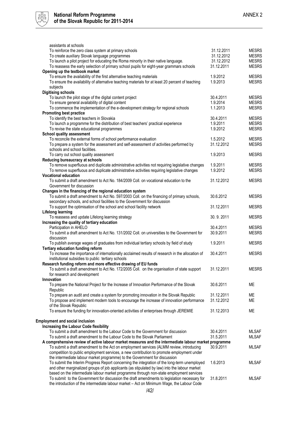

| assistants at schools                                                                                                                                      |                        |              |
|------------------------------------------------------------------------------------------------------------------------------------------------------------|------------------------|--------------|
| To reinforce the zero class system at primary schools                                                                                                      | 31.12.2011             | <b>MESRS</b> |
| To create auxiliary Slovak language programmes                                                                                                             | 31.12.2012             | <b>MESRS</b> |
| To launch a pilot project for educating the Roma minority in their native language.                                                                        | 31.12.2012             | <b>MESRS</b> |
| To reassess the early selection of primary school pupils for eight-year grammars schools                                                                   | 31.12.2011             | <b>MESRS</b> |
| Opening up the textbook market                                                                                                                             |                        |              |
| To ensure the availability of the first alternative teaching materials                                                                                     | 1.9.2012               | <b>MESRS</b> |
| To ensure the availability of alternative teaching materials for at least 20 percent of teaching                                                           | 1.9.2013               | <b>MESRS</b> |
| subjects                                                                                                                                                   |                        |              |
| <b>Digitising schools</b>                                                                                                                                  |                        |              |
| To launch the pilot stage of the digital content project                                                                                                   | 30.4.2011              | <b>MESRS</b> |
| To ensure general availability of digital content                                                                                                          | 1.9.2014               | <b>MESRS</b> |
| To commence the implementation of the e-development strategy for regional schools                                                                          | 1.1.2013               | <b>MESRS</b> |
| <b>Promoting best practice</b>                                                                                                                             |                        |              |
| To identify the best teachers in Slovakia                                                                                                                  | 30.4.2011              | <b>MESRS</b> |
| To launch a programme for the distribution of best teachers' practical experience                                                                          | 1.9.2011               | <b>MESRS</b> |
| To revise the state educational programmes                                                                                                                 | 1.9.2012               | <b>MESRS</b> |
| <b>School quality assessment</b>                                                                                                                           |                        |              |
| To reconcile the external forms of school performance evaluation                                                                                           | 1.5.2012               | <b>MESRS</b> |
| To prepare a system for the assessment and self-assessment of activities performed by                                                                      | 31.12.2012             | <b>MESRS</b> |
| schools and school facilities.                                                                                                                             |                        |              |
| To carry out school quality assessment                                                                                                                     | 1.9.2013               | <b>MESRS</b> |
| Reducing bureaucracy at schools                                                                                                                            |                        | <b>MESRS</b> |
| To remove superfluous and duplicate administrative activities not requiring legislative changes                                                            | 1.9.2011<br>1.9.2012   |              |
| To remove superfluous and duplicate administrative activities requiring legislative changes<br><b>Vocational education</b>                                 |                        | <b>MESRS</b> |
| To submit a draft amendment to Act No. 184/2009 Coll. on vocational education to the                                                                       | 31.12.2012             | <b>MESRS</b> |
| Government for discussion                                                                                                                                  |                        |              |
| Changes in the financing of the regional education system                                                                                                  |                        |              |
| To submit a draft amendment to Act No. 597/2003 Coll. on the financing of primary schools,                                                                 | 30.6.2012              | <b>MESRS</b> |
| secondary schools, and school facilities to the Government for discussion                                                                                  |                        |              |
| To support the optimisation of the school and school facility network                                                                                      | 31.12.2011             | <b>MESRS</b> |
| <b>Lifelong learning</b>                                                                                                                                   |                        |              |
| To reassess and update Lifelong learning strategy                                                                                                          | 30.9.2011              | <b>MESRS</b> |
| Increasing the quality of tertiary education                                                                                                               |                        |              |
| Participation in AHELO                                                                                                                                     | 30.4.2011              | <b>MESRS</b> |
| To submit a draft amendment to Act No. 131/2002 Coll. on universities to the Government for                                                                | 30.9.2011              | <b>MESRS</b> |
| discussion                                                                                                                                                 |                        |              |
| To publish average wages of graduates from individual tertiary schools by field of study                                                                   | 1.9.2011               | <b>MESRS</b> |
| Tertiary education funding reform                                                                                                                          |                        |              |
| To increase the importance of internationally acclaimed results of research in the allocation of                                                           | 30.4.2011              | <b>MESRS</b> |
| institutional subsidies to public tertiary schools                                                                                                         |                        |              |
| Research funding reform and more effective drawing of EU funds                                                                                             |                        |              |
| To submit a draft amendment to Act No. 172/2005 Coll. on the organisation of state support                                                                 | 31.12.2011             | <b>MESRS</b> |
| for research and development                                                                                                                               |                        |              |
| Innovation                                                                                                                                                 |                        |              |
| To prepare the National Project for the Increase of Innovation Performance of the Slovak                                                                   | 30.6.2011              | <b>ME</b>    |
| Republic                                                                                                                                                   |                        |              |
| To prepare an audit and create a system for promoting innovation in the Slovak Republic                                                                    | 31.12.2011             | ME           |
| To propose and implement modern tools to encourage the increase of innovation performance                                                                  | 31.12.2012             | МE           |
| of the Slovak Republic                                                                                                                                     |                        |              |
| To ensure the funding for innovation-oriented activities of enterprises through JEREMIE                                                                    | 31.12.2013             | <b>ME</b>    |
|                                                                                                                                                            |                        |              |
| <b>Employment and social inclusion</b>                                                                                                                     |                        |              |
| Increasing the Labour Code flexibility                                                                                                                     |                        | <b>MLSAF</b> |
| To submit a draft amendment to the Labour Code to the Government for discussion<br>To submit a draft amendment to the Labour Code to the Slovak Parliament | 30.4.2011<br>31.5.2011 | <b>MLSAF</b> |
| A comprehensive review of active labour market measures and the intermediate labour market programme                                                       |                        |              |
| To submit a draft amendment to the Act on employment services (ALMM review, introducing                                                                    | 30.9.2011              | <b>MLSAF</b> |
| competition to public employment services, a new contribution to promote employment under                                                                  |                        |              |
| the intermediate labour market programme) to the Government for discussion                                                                                 |                        |              |
| To submit the Interim Progress Report concerning the integration of the long-term unemployed                                                               | 1.6.2013               | <b>MLSAF</b> |
| and other marginalized groups of job applicants (as stipulated by law) into the labour market                                                              |                        |              |
| based on the intermediate labour market programme through non-state employment services                                                                    |                        |              |
| To submit to the Government for discussion the draft amendments to legislation necessary for                                                               | 31.8.2011              | <b>MLSAF</b> |
| the introduction of the intermediate labour market - Act on Minimum Wage, the Labour Code                                                                  |                        |              |
|                                                                                                                                                            |                        |              |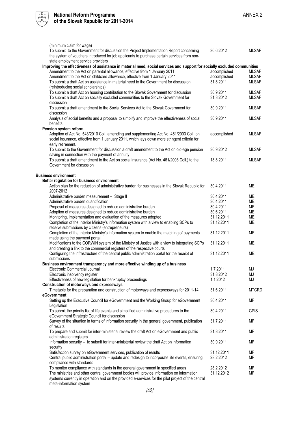

| (minimum claim for wage)<br>To submit to the Government for discussion the Project Implementation Report concerning<br>the system of vouchers introduced for job applicants to purchase certain services from non- | 30.6.2012    | <b>MLSAF</b> |
|--------------------------------------------------------------------------------------------------------------------------------------------------------------------------------------------------------------------|--------------|--------------|
| state employment service providers                                                                                                                                                                                 |              |              |
| Improving the effectiveness of assistance in material need, social services and support for socially excluded communities                                                                                          |              |              |
| Amendment to the Act on parental allowance, effective from 1 January 2011                                                                                                                                          | accomplished | <b>MLSAF</b> |
| Amendment to the Act on childcare allowance, effective from 1 January 2011                                                                                                                                         | accomplished | <b>MLSAF</b> |
| To submit a draft Act on assistance in material need to the Government for discussion                                                                                                                              | 31.8.2011    | <b>MLSAF</b> |
| (reintroducing social scholarships)                                                                                                                                                                                |              |              |
| To submit a draft Act on housing contribution to the Slovak Government for discussion                                                                                                                              | 30.9.2011    | <b>MLSAF</b> |
| To submit a draft Act on socially excluded communities to the Slovak Government for                                                                                                                                | 31.3.2012    | <b>MLSAF</b> |
|                                                                                                                                                                                                                    |              |              |
| discussion                                                                                                                                                                                                         |              |              |
| To submit a draft amendment to the Social Services Act to the Slovak Government for                                                                                                                                | 30.9.2011    | <b>MLSAF</b> |
| discussion                                                                                                                                                                                                         |              |              |
| Analysis of social benefits and a proposal to simplify and improve the effectiveness of social                                                                                                                     | 30.9.2011    | <b>MLSAF</b> |
| benefits                                                                                                                                                                                                           |              |              |
| Pension system reform                                                                                                                                                                                              |              |              |
| Adoption of Act No. 543/2010 Coll. amending and supplementing Act No. 461/2003 Coll. on                                                                                                                            | accomplished | <b>MLSAF</b> |
| social insurance, effective from 1 January 2011, which lays down more stringent criteria for                                                                                                                       |              |              |
| early retirement.                                                                                                                                                                                                  |              |              |
| To submit to the Government for discussion a draft amendment to the Act on old-age pension                                                                                                                         | 30.9.2012    | <b>MLSAF</b> |
| saving in connection with the payment of annuity                                                                                                                                                                   |              |              |
| To submit a draft amendment to the Act on social insurance (Act No. 461/2003 Coll.) to the                                                                                                                         | 18.8.2011    | <b>MLSAF</b> |
| Government for discussion                                                                                                                                                                                          |              |              |
|                                                                                                                                                                                                                    |              |              |
| <b>Business environment</b>                                                                                                                                                                                        |              |              |
| Better regulation for business environment                                                                                                                                                                         |              |              |
| Action plan for the reduction of administrative burden for businesses in the Slovak Republic for                                                                                                                   | 30.4.2011    | ME           |
| 2007-2012                                                                                                                                                                                                          |              |              |
| Administrative burden measurement - Stage II                                                                                                                                                                       | 30.4.2011    | <b>ME</b>    |
| Administrative burden quantification                                                                                                                                                                               | 30.4.2011    | <b>ME</b>    |
|                                                                                                                                                                                                                    |              |              |
| Proposal of measures designed to reduce administrative burden                                                                                                                                                      | 30.4.2011    | <b>ME</b>    |
| Adoption of measures designed to reduce administrative burden                                                                                                                                                      | 30.6.2011    | <b>ME</b>    |
| Monitoring, implementation and evaluation of the measures adopted                                                                                                                                                  | 31.12.2011   | ME           |
| Completion of the Interior Ministry's information system with a view to enabling SCPs to                                                                                                                           | 31.12.2011   | <b>ME</b>    |
| receive submissions by citizens (entrepreneurs)                                                                                                                                                                    |              |              |
| Completion of the Interior Ministry's information system to enable the matching of payments                                                                                                                        | 31.12.2011   | <b>ME</b>    |
| made using the payment portal                                                                                                                                                                                      |              |              |
| Modifications to the CORWIN system of the Ministry of Justice with a view to integrating SCPs                                                                                                                      | 31.12.2011   | <b>ME</b>    |
| and creating a link to the commercial registers of the respective courts                                                                                                                                           |              |              |
| Configuring the infrastructure of the central public administration portal for the receipt of                                                                                                                      | 31.12.2011   | <b>ME</b>    |
| submissions                                                                                                                                                                                                        |              |              |
| Business environment transparency and more effective winding up of a business                                                                                                                                      |              |              |
| Electronic Commercial Journal                                                                                                                                                                                      | 1.7.2011     | MJ           |
| Electronic insolvency register                                                                                                                                                                                     | 31.8.2012    | MJ           |
| Effectiveness of new legislation for bankruptcy proceedings                                                                                                                                                        | 1.1.2012     | MJ           |
| Construction of motorways and expressways                                                                                                                                                                          |              |              |
| Timetable for the preparation and construction of motorways and expressways for 2011-14                                                                                                                            | 31.6.2011    | <b>MTCRD</b> |
| eGovernment                                                                                                                                                                                                        |              |              |
|                                                                                                                                                                                                                    |              |              |
| Setting up the Executive Council for eGovernment and the Working Group for eGovernment                                                                                                                             | 30.4.2011    | <b>MF</b>    |
| Legislation                                                                                                                                                                                                        |              |              |
| To submit the priority list of life events and simplified administrative procedures to the                                                                                                                         | 30.4.2011    | <b>GPIS</b>  |
| eGovernment Strategic Council for discussion                                                                                                                                                                       |              |              |
| Survey of the situation in terms of information security in the general government, publication                                                                                                                    | 31.7.2011    | <b>MF</b>    |
| of results                                                                                                                                                                                                         |              |              |
| To prepare and submit for inter-ministerial review the draft Act on eGovernment and public                                                                                                                         | 31.8.2011    | <b>MF</b>    |
| administration registers                                                                                                                                                                                           |              |              |
| Information security – to submit for inter-ministerial review the draft Act on information                                                                                                                         | 30.9.2011    | МF           |
| security                                                                                                                                                                                                           |              |              |
| Satisfaction survey on eGovernment services, publication of results                                                                                                                                                | 31.12.2011   | МF           |
| Central public administration portal - update and redesign to incorporate life events, ensuring                                                                                                                    | 28.2.2012    | МF           |
| compliance with standards                                                                                                                                                                                          |              |              |
| To monitor compliance with standards in the general government in specified areas                                                                                                                                  | 28.2.2012    | MF           |
| The ministries and other central government bodies will provide information on information                                                                                                                         | 31.12.2012   | MF           |
| systems currently in operation and on the provided e-services for the pilot project of the central                                                                                                                 |              |              |

meta-information system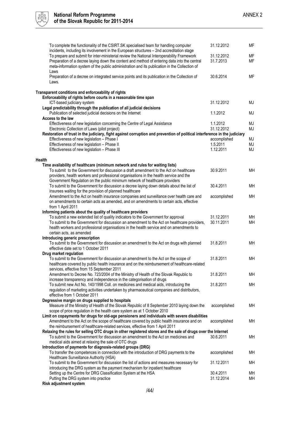

| To complete the functionality of the CSIRT.SK specialised team for handling computer<br>incidents, including its involvement in the European structures - 2nd accreditation stage | 31.12.2012   | MF        |
|-----------------------------------------------------------------------------------------------------------------------------------------------------------------------------------|--------------|-----------|
| To prepare and submit for inter-ministerial review the National Interoperability Framework                                                                                        | 31.12.2012   | <b>MF</b> |
| Preparation of a decree laying down the content and method of entering data into the central                                                                                      | 31.7.2013    | <b>MF</b> |
| meta-information system of the public administration and its publication in the Collection of                                                                                     |              |           |
| Laws                                                                                                                                                                              |              |           |
| Preparation of a decree on integrated service points and its publication in the Collection of                                                                                     | 30.6.2014    | MF        |
| Laws.                                                                                                                                                                             |              |           |
|                                                                                                                                                                                   |              |           |
| Transparent conditions and enforceability of rights                                                                                                                               |              |           |
| Enforceability of rights before courts in a reasonable time span                                                                                                                  | 31.12.2012   | MJ        |
| ICT-based judiciary system<br>Legal predictability through the publication of all judicial decisions                                                                              |              |           |
| Publication of selected judicial decisions on the Internet                                                                                                                        | 1.1.2012     | MJ        |
| <b>Access to the law</b>                                                                                                                                                          |              |           |
| Effectiveness of new legislation concerning the Centre of Legal Assistance                                                                                                        | 1.1.2012     | MJ        |
| Electronic Collection of Laws (pilot project)                                                                                                                                     | 31.12.2012   | MJ        |
| Restoration of trust in the judiciary, fight against corruption and prevention of political interference in the judiciary                                                         |              |           |
| Effectiveness of new legislation - Phase I                                                                                                                                        | accomplished | MJ        |
| Effectiveness of new legislation - Phase II                                                                                                                                       | 1.5.2011     | MJ        |
| Effectiveness of new legislation - Phase III                                                                                                                                      | 1.12.2011    | MJ        |
|                                                                                                                                                                                   |              |           |
| Health                                                                                                                                                                            |              |           |
| Time availability of healthcare (minimum network and rules for waiting lists)                                                                                                     |              |           |
| To submit to the Government for discussion a draft amendment to the Act on healthcare                                                                                             | 30.9.2011    | <b>MH</b> |
| providers, health workers and professional organisations in the health service and the                                                                                            |              |           |
| Government Regulation on the public minimum network of healthcare providers                                                                                                       |              |           |
| To submit to the Government for discussion a decree laying down details about the list of                                                                                         | 30.4.2011    | <b>MH</b> |
| insurees waiting for the provision of planned healthcare<br>Amendment to the Act on health insurance companies and surveillance over health care and                              | accomplished | <b>MH</b> |
| on amendments to certain acts as amended, and on amendments to certain acts, effective                                                                                            |              |           |
| from 1 April 2011                                                                                                                                                                 |              |           |
| Informing patients about the quality of healthcare providers                                                                                                                      |              |           |
| To submit a new extended list of quality indicators to the Government for approval                                                                                                | 31.12.2011   | MH        |
| To submit to the Government for discussion an amendment to the Act on healthcare providers,                                                                                       | 30.11.2011   | <b>MH</b> |
| health workers and professional organisations in the health service and on amendments to                                                                                          |              |           |
| certain acts, as amended                                                                                                                                                          |              |           |
| Introducing generic prescription                                                                                                                                                  |              |           |
| To submit to the Government for discussion an amendment to the Act on drugs with planned                                                                                          | 31.8.2011    | MH        |
| effective date set to 1 October 2011                                                                                                                                              |              |           |
| Drug market regulation                                                                                                                                                            |              |           |
| To submit to the Government for discussion an amendment to the Act on the scope of                                                                                                | 31.8.2011    | <b>MH</b> |
| healthcare covered by public health insurance and on the reimbursement of healthcare-related<br>services, effective from 15 September 2011                                        |              |           |
| Amendment to Decree No. 723/2004 of the Ministry of Health of the Slovak Republic to                                                                                              | 31.8.2011    | MH        |
| increase transparency and independence in the categorisation of drugs                                                                                                             |              |           |
| To submit new Act No. 140/1998 Coll. on medicines and medical aids, introducing the                                                                                               | 31.8.2011    | MН        |
| regulation of marketing activities undertaken by pharmaceutical companies and distributors,                                                                                       |              |           |
| effective from 1 October 2011                                                                                                                                                     |              |           |
| Degressive margin on drugs supplied to hospitals                                                                                                                                  |              |           |
| Measure of the Ministry of Health of the Slovak Republic of 8 September 2010 laying down the                                                                                      | accomplished | MH        |
| scope of price regulation in the health care system as at 1 October 2010                                                                                                          |              |           |
| Limit on copayments for drugs for old-age pensioners and individuals with severe disabilities                                                                                     |              |           |
| Amendment to the Act on the scope of healthcare covered by public health insurance and on                                                                                         | accomplished | MН        |
| the reimbursement of healthcare-related services, effective from 1 April 2011                                                                                                     |              |           |
| Relaxing the rules for selling OTC drugs in other registered stores and the sale of drugs over the Internet                                                                       | 30.6.2011    | MH        |
| To submit to the Government for discussion an amendment to the Act on medicines and<br>medical aids aimed at relaxing the sale of OTC drugs                                       |              |           |
| Introduction of payments for diagnosis-related groups (DRG)                                                                                                                       |              |           |
| To transfer the competences in connection with the introduction of DRG payments to the                                                                                            | accomplished | MН        |
| Healthcare Surveillance Authority (HSA)                                                                                                                                           |              |           |
| To submit to the Government for discussion the list of actions and measures necessary for                                                                                         | 31.12.2011   | MН        |
| introducing the DRG system as the payment mechanism for inpatient healthcare                                                                                                      |              |           |
| Setting up the Centre for DRG Classification System at the HSA                                                                                                                    | 30.4.2011    | MH        |
| Putting the DRG system into practice                                                                                                                                              | 31.12.2014   | MН        |
| Risk adjustment system                                                                                                                                                            |              |           |